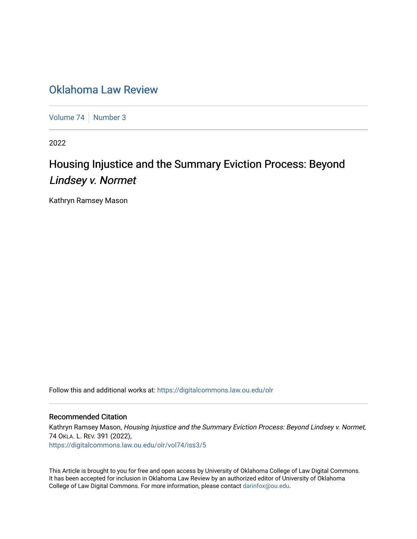## [Oklahoma Law Review](https://digitalcommons.law.ou.edu/olr)

[Volume 74](https://digitalcommons.law.ou.edu/olr/vol74) [Number 3](https://digitalcommons.law.ou.edu/olr/vol74/iss3)

2022

# Housing Injustice and the Summary Eviction Process: Beyond Lindsey v. Normet

Kathryn Ramsey Mason

Follow this and additional works at: [https://digitalcommons.law.ou.edu/olr](https://digitalcommons.law.ou.edu/olr?utm_source=digitalcommons.law.ou.edu%2Folr%2Fvol74%2Fiss3%2F5&utm_medium=PDF&utm_campaign=PDFCoverPages)

## Recommended Citation

Kathryn Ramsey Mason, Housing Injustice and the Summary Eviction Process: Beyond Lindsey v. Normet, 74 OKLA. L. REV. 391 (2022), [https://digitalcommons.law.ou.edu/olr/vol74/iss3/5](https://digitalcommons.law.ou.edu/olr/vol74/iss3/5?utm_source=digitalcommons.law.ou.edu%2Folr%2Fvol74%2Fiss3%2F5&utm_medium=PDF&utm_campaign=PDFCoverPages) 

This Article is brought to you for free and open access by University of Oklahoma College of Law Digital Commons. It has been accepted for inclusion in Oklahoma Law Review by an authorized editor of University of Oklahoma College of Law Digital Commons. For more information, please contact [darinfox@ou.edu.](mailto:darinfox@ou.edu)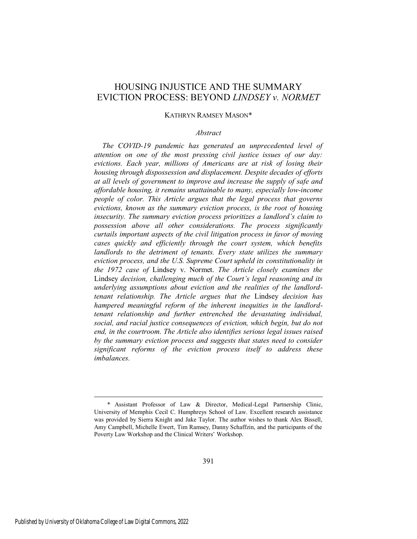## HOUSING INJUSTICE AND THE SUMMARY EVICTION PROCESS: BEYOND *LINDSEY v. NORMET*

#### KATHRYN RAMSEY MASON\*

#### *Abstract*

*The COVID-19 pandemic has generated an unprecedented level of attention on one of the most pressing civil justice issues of our day: evictions. Each year, millions of Americans are at risk of losing their housing through dispossession and displacement. Despite decades of efforts at all levels of government to improve and increase the supply of safe and affordable housing, it remains unattainable to many, especially low-income people of color. This Article argues that the legal process that governs evictions, known as the summary eviction process, is the root of housing insecurity. The summary eviction process prioritizes a landlord's claim to possession above all other considerations. The process significantly curtails important aspects of the civil litigation process in favor of moving cases quickly and efficiently through the court system, which benefits landlords to the detriment of tenants. Every state utilizes the summary eviction process, and the U.S. Supreme Court upheld its constitutionality in the 1972 case of* Lindsey v. Normet. *The Article closely examines the*  Lindsey *decision, challenging much of the Court's legal reasoning and its underlying assumptions about eviction and the realities of the landlordtenant relationship. The Article argues that the* Lindsey *decision has hampered meaningful reform of the inherent inequities in the landlordtenant relationship and further entrenched the devastating individual, social, and racial justice consequences of eviction, which begin, but do not end, in the courtroom. The Article also identifies serious legal issues raised by the summary eviction process and suggests that states need to consider significant reforms of the eviction process itself to address these imbalances.* 

 <sup>\*</sup> Assistant Professor of Law & Director, Medical-Legal Partnership Clinic, University of Memphis Cecil C. Humphreys School of Law. Excellent research assistance was provided by Sierra Knight and Jake Taylor. The author wishes to thank Alex Bissell, Amy Campbell, Michelle Ewert, Tim Ramsey, Danny Schaffzin, and the participants of the Poverty Law Workshop and the Clinical Writers' Workshop.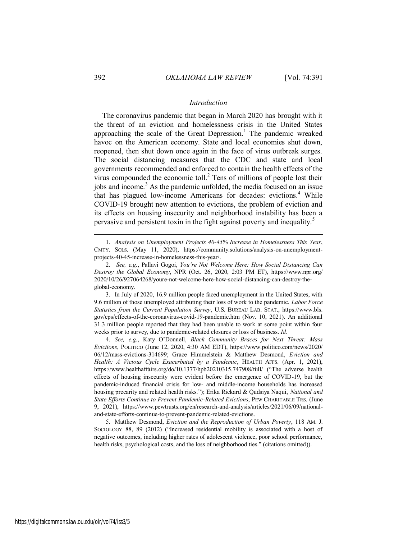## *Introduction*

The coronavirus pandemic that began in March 2020 has brought with it the threat of an eviction and homelessness crisis in the United States approaching the scale of the Great Depression.<sup>1</sup> The pandemic wreaked havoc on the American economy. State and local economies shut down, reopened, then shut down once again in the face of virus outbreak surges. The social distancing measures that the CDC and state and local governments recommended and enforced to contain the health effects of the virus compounded the economic toll. $2$  Tens of millions of people lost their jobs and income.<sup>3</sup> As the pandemic unfolded, the media focused on an issue that has plagued low-income Americans for decades: evictions.<sup>4</sup> While COVID-19 brought new attention to evictions, the problem of eviction and its effects on housing insecurity and neighborhood instability has been a pervasive and persistent toxin in the fight against poverty and inequality.<sup>5</sup>

3. In July of 2020, 16.9 million people faced unemployment in the United States, with 9.6 million of those unemployed attributing their loss of work to the pandemic. *Labor Force Statistics from the Current Population Survey*, U.S. BUREAU LAB. STAT., https://www.bls. gov/cps/effects-of-the-coronavirus-covid-19-pandemic.htm (Nov. 10, 2021). An additional 31.3 million people reported that they had been unable to work at some point within four weeks prior to survey, due to pandemic-related closures or loss of business. *Id.*

4. *See, e.g.*, Katy O'Donnell, *Black Community Braces for Next Threat: Mass Evictions*, POLITICO (June 12, 2020, 4:30 AM EDT), https://www.politico.com/news/2020/ 06/12/mass-evictions-314699; Grace Himmelstein & Matthew Desmond, *Eviction and Health: A Vicious Cycle Exacerbated by a Pandemic*, HEALTH AFFS. (Apr. 1, 2021), https://www.healthaffairs.org/do/10.1377/hpb20210315.747908/full/ ("The adverse health effects of housing insecurity were evident before the emergence of COVID-19, but the pandemic-induced financial crisis for low- and middle-income households has increased housing precarity and related health risks."); Erika Rickard & Qudsiya Naqui, *National and State Efforts Continue to Prevent Pandemic-Related Evictions*, PEW CHARITABLE TRS. (June 9, 2021), https://www.pewtrusts.org/en/research-and-analysis/articles/2021/06/09/nationaland-state-efforts-continue-to-prevent-pandemic-related-evictions.

5. Matthew Desmond, *Eviction and the Reproduction of Urban Poverty*, 118 AM. J. SOCIOLOGY 88, 89 (2012) ("Increased residential mobility is associated with a host of negative outcomes, including higher rates of adolescent violence, poor school performance, health risks, psychological costs, and the loss of neighborhood ties." (citations omitted)).

<sup>1.</sup> *Analysis on Unemployment Projects 40-45% Increase in Homelessness This Year*, CMTY. SOLS. (May 11, 2020), https://community.solutions/analysis-on-unemploymentprojects-40-45-increase-in-homelessness-this-year/.

<sup>2.</sup> *See, e.g.*, Pallavi Gogoi, *You're Not Welcome Here: How Social Distancing Can Destroy the Global Economy*, NPR (Oct. 26, 2020, 2:03 PM ET), https://www.npr.org/ 2020/10/26/927064268/youre-not-welcome-here-how-social-distancing-can-destroy-theglobal-economy.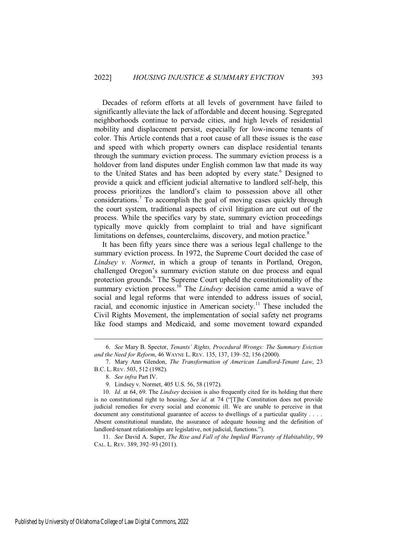Decades of reform efforts at all levels of government have failed to significantly alleviate the lack of affordable and decent housing. Segregated neighborhoods continue to pervade cities, and high levels of residential mobility and displacement persist, especially for low-income tenants of color. This Article contends that a root cause of all these issues is the ease and speed with which property owners can displace residential tenants through the summary eviction process. The summary eviction process is a holdover from land disputes under English common law that made its way to the United States and has been adopted by every state.<sup>6</sup> Designed to provide a quick and efficient judicial alternative to landlord self-help, this process prioritizes the landlord's claim to possession above all other considerations.<sup>7</sup> To accomplish the goal of moving cases quickly through the court system, traditional aspects of civil litigation are cut out of the process. While the specifics vary by state, summary eviction proceedings typically move quickly from complaint to trial and have significant limitations on defenses, counterclaims, discovery, and motion practice. $8$ 

It has been fifty years since there was a serious legal challenge to the summary eviction process. In 1972, the Supreme Court decided the case of *Lindsey v. Normet*, in which a group of tenants in Portland, Oregon, challenged Oregon's summary eviction statute on due process and equal protection grounds.<sup>9</sup> The Supreme Court upheld the constitutionality of the summary eviction process.<sup>10</sup> The *Lindsey* decision came amid a wave of social and legal reforms that were intended to address issues of social, racial, and economic injustice in American society.<sup>11</sup> These included the Civil Rights Movement, the implementation of social safety net programs like food stamps and Medicaid, and some movement toward expanded

 $\overline{a}$ 

11. *See* David A. Super, *The Rise and Fall of the Implied Warranty of Habitability*, 99 CAL. L. REV. 389, 392–93 (2011).

<sup>6.</sup> *See* Mary B. Spector, *Tenants' Rights, Procedural Wrongs: The Summary Eviction and the Need for Reform*, 46 WAYNE L. REV. 135, 137, 139–52, 156 (2000).

<sup>7.</sup> Mary Ann Glendon, *The Transformation of American Landlord-Tenant Law*, 23 B.C. L. REV. 503, 512 (1982).

<sup>8.</sup> *See infra* Part IV.

<sup>9.</sup> Lindsey v. Normet, 405 U.S. 56, 58 (1972).

<sup>10.</sup> *Id.* at 64, 69. The *Lindsey* decision is also frequently cited for its holding that there is no constitutional right to housing. *See id.* at 74 ("[T]he Constitution does not provide judicial remedies for every social and economic ill. We are unable to perceive in that document any constitutional guarantee of access to dwellings of a particular quality . . . . Absent constitutional mandate, the assurance of adequate housing and the definition of landlord-tenant relationships are legislative, not judicial, functions.").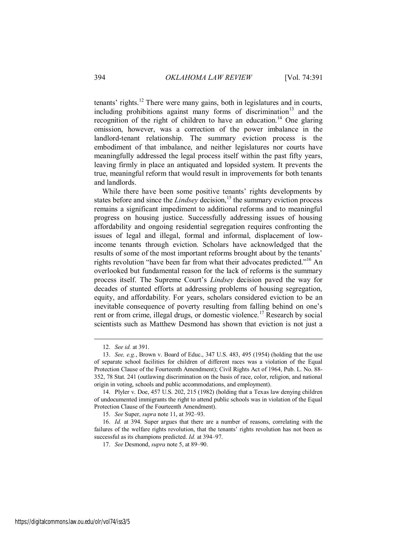tenants' rights.<sup>12</sup> There were many gains, both in legislatures and in courts, including prohibitions against many forms of discrimination<sup>13</sup> and the recognition of the right of children to have an education.<sup>14</sup> One glaring omission, however, was a correction of the power imbalance in the landlord-tenant relationship. The summary eviction process is the embodiment of that imbalance, and neither legislatures nor courts have meaningfully addressed the legal process itself within the past fifty years, leaving firmly in place an antiquated and lopsided system. It prevents the true, meaningful reform that would result in improvements for both tenants and landlords.

While there have been some positive tenants' rights developments by states before and since the *Lindsey* decision,<sup>15</sup> the summary eviction process remains a significant impediment to additional reforms and to meaningful progress on housing justice. Successfully addressing issues of housing affordability and ongoing residential segregation requires confronting the issues of legal and illegal, formal and informal, displacement of lowincome tenants through eviction. Scholars have acknowledged that the results of some of the most important reforms brought about by the tenants' rights revolution "have been far from what their advocates predicted."<sup>16</sup> An overlooked but fundamental reason for the lack of reforms is the summary process itself. The Supreme Court's *Lindsey* decision paved the way for decades of stunted efforts at addressing problems of housing segregation, equity, and affordability. For years, scholars considered eviction to be an inevitable consequence of poverty resulting from falling behind on one's rent or from crime, illegal drugs, or domestic violence.<sup>17</sup> Research by social scientists such as Matthew Desmond has shown that eviction is not just a

<sup>12.</sup> *See id.* at 391.

<sup>13.</sup> *See, e.g.*, Brown v. Board of Educ., 347 U.S. 483, 495 (1954) (holding that the use of separate school facilities for children of different races was a violation of the Equal Protection Clause of the Fourteenth Amendment); Civil Rights Act of 1964, Pub. L. No. 88- 352, 78 Stat. 241 (outlawing discrimination on the basis of race, color, religion, and national origin in voting, schools and public accommodations, and employment).

<sup>14.</sup> Plyler v. Doe, 457 U.S. 202, 215 (1982) (holding that a Texas law denying children of undocumented immigrants the right to attend public schools was in violation of the Equal Protection Clause of the Fourteenth Amendment).

<sup>15.</sup> *See* Super, *supra* note 11, at 392–93.

<sup>16.</sup> *Id.* at 394. Super argues that there are a number of reasons, correlating with the failures of the welfare rights revolution, that the tenants' rights revolution has not been as successful as its champions predicted. *Id.* at 394–97.

<sup>17.</sup> *See* Desmond, *supra* note 5, at 89–90.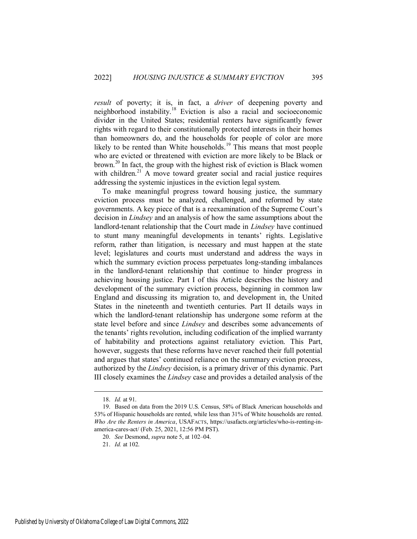*result* of poverty; it is, in fact, a *driver* of deepening poverty and neighborhood instability.<sup>18</sup> Eviction is also a racial and socioeconomic divider in the United States; residential renters have significantly fewer rights with regard to their constitutionally protected interests in their homes than homeowners do, and the households for people of color are more likely to be rented than White households.<sup>19</sup> This means that most people who are evicted or threatened with eviction are more likely to be Black or brown.<sup>20</sup> In fact, the group with the highest risk of eviction is Black women with children. $21$  A move toward greater social and racial justice requires addressing the systemic injustices in the eviction legal system.

To make meaningful progress toward housing justice, the summary eviction process must be analyzed, challenged, and reformed by state governments. A key piece of that is a reexamination of the Supreme Court's decision in *Lindsey* and an analysis of how the same assumptions about the landlord-tenant relationship that the Court made in *Lindsey* have continued to stunt many meaningful developments in tenants' rights. Legislative reform, rather than litigation, is necessary and must happen at the state level; legislatures and courts must understand and address the ways in which the summary eviction process perpetuates long-standing imbalances in the landlord-tenant relationship that continue to hinder progress in achieving housing justice. Part I of this Article describes the history and development of the summary eviction process, beginning in common law England and discussing its migration to, and development in, the United States in the nineteenth and twentieth centuries. Part II details ways in which the landlord-tenant relationship has undergone some reform at the state level before and since *Lindsey* and describes some advancements of the tenants' rights revolution, including codification of the implied warranty of habitability and protections against retaliatory eviction. This Part, however, suggests that these reforms have never reached their full potential and argues that states' continued reliance on the summary eviction process, authorized by the *Lindsey* decision, is a primary driver of this dynamic. Part III closely examines the *Lindsey* case and provides a detailed analysis of the

<sup>18.</sup> *Id.* at 91.

<sup>19.</sup> Based on data from the 2019 U.S. Census, 58% of Black American households and 53% of Hispanic households are rented, while less than 31% of White households are rented. *Who Are the Renters in America*, USAFACTS, https://usafacts.org/articles/who-is-renting-inamerica-cares-act/ (Feb. 25, 2021, 12:56 PM PST).

<sup>20.</sup> *See* Desmond, *supra* note 5, at 102–04.

<sup>21.</sup> *Id.* at 102.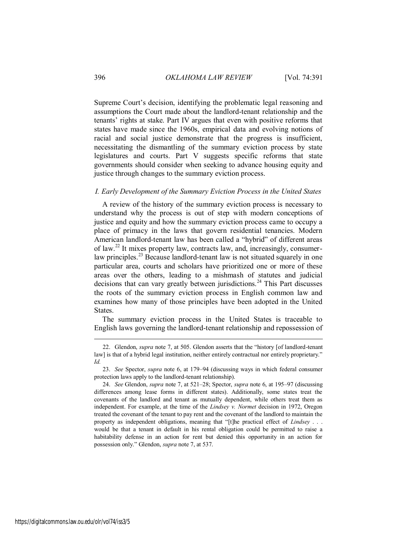Supreme Court's decision, identifying the problematic legal reasoning and assumptions the Court made about the landlord-tenant relationship and the tenants' rights at stake. Part IV argues that even with positive reforms that states have made since the 1960s, empirical data and evolving notions of racial and social justice demonstrate that the progress is insufficient, necessitating the dismantling of the summary eviction process by state legislatures and courts. Part V suggests specific reforms that state governments should consider when seeking to advance housing equity and justice through changes to the summary eviction process.

## *I. Early Development of the Summary Eviction Process in the United States*

A review of the history of the summary eviction process is necessary to understand why the process is out of step with modern conceptions of justice and equity and how the summary eviction process came to occupy a place of primacy in the laws that govern residential tenancies. Modern American landlord-tenant law has been called a "hybrid" of different areas of law.<sup>22</sup> It mixes property law, contracts law, and, increasingly, consumerlaw principles.<sup>23</sup> Because landlord-tenant law is not situated squarely in one particular area, courts and scholars have prioritized one or more of these areas over the others, leading to a mishmash of statutes and judicial decisions that can vary greatly between jurisdictions.<sup>24</sup> This Part discusses the roots of the summary eviction process in English common law and examines how many of those principles have been adopted in the United States.

The summary eviction process in the United States is traceable to English laws governing the landlord-tenant relationship and repossession of

<sup>22.</sup> Glendon, *supra* note 7, at 505. Glendon asserts that the "history [of landlord-tenant law] is that of a hybrid legal institution, neither entirely contractual nor entirely proprietary." *Id.*

<sup>23.</sup> *See* Spector, *supra* note 6, at 179–94 (discussing ways in which federal consumer protection laws apply to the landlord-tenant relationship).

<sup>24.</sup> *See* Glendon, *supra* note 7, at 521–28; Spector, *supra* note 6, at 195–97 (discussing differences among lease forms in different states). Additionally, some states treat the covenants of the landlord and tenant as mutually dependent, while others treat them as independent. For example, at the time of the *Lindsey v. Normet* decision in 1972, Oregon treated the covenant of the tenant to pay rent and the covenant of the landlord to maintain the property as independent obligations, meaning that "[t]he practical effect of *Lindsey* . . . would be that a tenant in default in his rental obligation could be permitted to raise a habitability defense in an action for rent but denied this opportunity in an action for possession only." Glendon, *supra* note 7, at 537.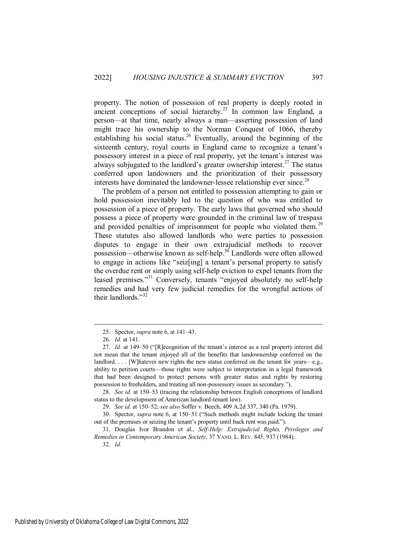property. The notion of possession of real property is deeply rooted in ancient conceptions of social hierarchy.<sup>25</sup> In common law England, a person—at that time, nearly always a man—asserting possession of land might trace his ownership to the Norman Conquest of 1066, thereby establishing his social status.<sup>26</sup> Eventually, around the beginning of the sixteenth century, royal courts in England came to recognize a tenant's possessory interest in a piece of real property, yet the tenant's interest was always subjugated to the landlord's greater ownership interest.<sup>27</sup> The status conferred upon landowners and the prioritization of their possessory interests have dominated the landowner-lessee relationship ever since.<sup>28</sup>

The problem of a person not entitled to possession attempting to gain or hold possession inevitably led to the question of who was entitled to possession of a piece of property. The early laws that governed who should possess a piece of property were grounded in the criminal law of trespass and provided penalties of imprisonment for people who violated them.<sup>29</sup> These statutes also allowed landlords who were parties to possession disputes to engage in their own extrajudicial methods to recover possession—otherwise known as self-help.<sup>30</sup> Landlords were often allowed to engage in actions like "seiz[ing] a tenant's personal property to satisfy the overdue rent or simply using self-help eviction to expel tenants from the leased premises."<sup>31</sup> Conversely, tenants "enjoyed absolutely no self-help remedies and had very few judicial remedies for the wrongful actions of their landlords."<sup>32</sup>

<sup>25.</sup> Spector, *supra* note 6, at 141–43.

<sup>26.</sup> *Id.* at 141.

<sup>27.</sup> *Id.* at 149–50 ("[R]ecognition of the tenant's interest as a real property interest did not mean that the tenant enjoyed all of the benefits that landownership conferred on the landlord.  $\ldots$  [W] hatever new rights the new status conferred on the tenant for years—e.g., ability to petition courts—those rights were subject to interpretation in a legal framework that had been designed to protect persons with greater status and rights by restoring possession to freeholders, and treating all non-possessory issues as secondary.").

<sup>28.</sup> *See id.* at 150–53 (tracing the relationship between English conceptions of landlord status to the development of American landlord-tenant law).

<sup>29.</sup> *See id.* at 150–52; *see also* Soffer v. Beech, 409 A.2d 337, 340 (Pa. 1979).

<sup>30.</sup> Spector, *supra* note 6, at 150–51 ("Such methods might include locking the tenant out of the premises or seizing the tenant's property until back rent was paid.").

<sup>31.</sup> Douglas Ivor Brandon et al., *Self-Help: Extrajudicial Rights, Privileges and Remedies in Contemporary American Society*, 37 VAND. L. REV. 845, 937 (1984).

<sup>32.</sup> *Id.*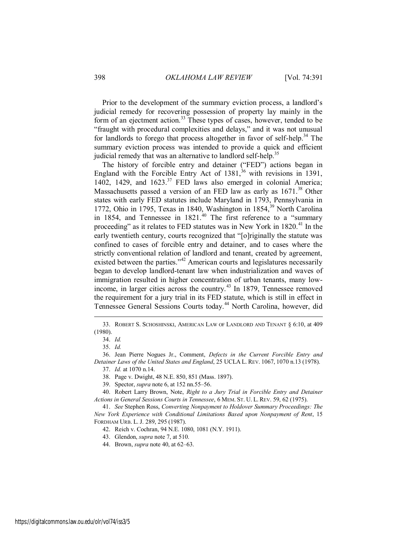Prior to the development of the summary eviction process, a landlord's judicial remedy for recovering possession of property lay mainly in the form of an ejectment action.<sup>33</sup> These types of cases, however, tended to be "fraught with procedural complexities and delays," and it was not unusual for landlords to forego that process altogether in favor of self-help.<sup>34</sup> The summary eviction process was intended to provide a quick and efficient judicial remedy that was an alternative to landlord self-help.<sup>35</sup>

The history of forcible entry and detainer ("FED") actions began in England with the Forcible Entry Act of  $1381<sup>36</sup>$  with revisions in 1391, 1402, 1429, and  $1623$ .<sup>37</sup> FED laws also emerged in colonial America; Massachusetts passed a version of an FED law as early as 1671.<sup>38</sup> Other states with early FED statutes include Maryland in 1793, Pennsylvania in 1772, Ohio in 1795, Texas in 1840, Washington in 1854,<sup>39</sup> North Carolina in 1854, and Tennessee in  $1821<sup>40</sup>$  The first reference to a "summary proceeding" as it relates to FED statutes was in New York in  $1820$ <sup>41</sup>. early twentieth century, courts recognized that "[o]riginally the statute was confined to cases of forcible entry and detainer, and to cases where the strictly conventional relation of landlord and tenant, created by agreement, existed between the parties."<sup>42</sup> American courts and legislatures necessarily began to develop landlord-tenant law when industrialization and waves of immigration resulted in higher concentration of urban tenants, many lowincome, in larger cities across the country.<sup>43</sup> In 1879, Tennessee removed the requirement for a jury trial in its FED statute, which is still in effect in Tennessee General Sessions Courts today.<sup>44</sup> North Carolina, however, did

<sup>33.</sup> ROBERT S. SCHOSHINSKI, AMERICAN LAW OF LANDLORD AND TENANT § 6:10, at 409 (1980).

<sup>34.</sup> *Id.*

<sup>35.</sup> *Id.* 

<sup>36.</sup> Jean Pierre Nogues Jr., Comment, *Defects in the Current Forcible Entry and Detainer Laws of the United States and England*, 25 UCLA L. REV. 1067, 1070 n.13 (1978).

<sup>37.</sup> *Id.* at 1070 n.14.

<sup>38.</sup> Page v. Dwight, 48 N.E. 850, 851 (Mass. 1897).

<sup>39.</sup> Spector, *supra* note 6, at 152 nn.55–56.

<sup>40.</sup> Robert Larry Brown, Note, *Right to a Jury Trial in Forcible Entry and Detainer Actions in General Sessions Courts in Tennessee*, 6 MEM. ST. U. L. REV. 59, 62 (1975).

<sup>41.</sup> *See* Stephen Ross, *Converting Nonpayment to Holdover Summary Proceedings: The New York Experience with Conditional Limitations Based upon Nonpayment of Rent*, 15 FORDHAM URB. L. J. 289, 295 (1987).

<sup>42.</sup> Reich v. Cochran, 94 N.E. 1080, 1081 (N.Y. 1911).

<sup>43.</sup> Glendon, *supra* note 7, at 510.

<sup>44.</sup> Brown, *supra* note 40, at 62–63.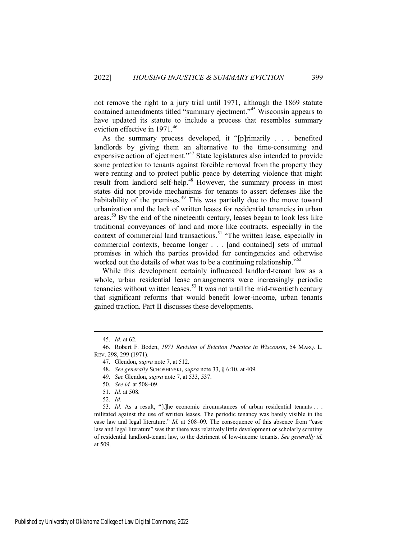not remove the right to a jury trial until 1971, although the 1869 statute contained amendments titled "summary ejectment."<sup>45</sup> Wisconsin appears to have updated its statute to include a process that resembles summary eviction effective in 1971.<sup>46</sup>

As the summary process developed, it "[p]rimarily . . . benefited landlords by giving them an alternative to the time-consuming and expensive action of ejectment."<sup>47</sup> State legislatures also intended to provide some protection to tenants against forcible removal from the property they were renting and to protect public peace by deterring violence that might result from landlord self-help.<sup>48</sup> However, the summary process in most states did not provide mechanisms for tenants to assert defenses like the habitability of the premises.<sup>49</sup> This was partially due to the move toward urbanization and the lack of written leases for residential tenancies in urban areas.<sup>50</sup> By the end of the nineteenth century, leases began to look less like traditional conveyances of land and more like contracts, especially in the context of commercial land transactions.<sup>51</sup> "The written lease, especially in commercial contexts, became longer . . . [and contained] sets of mutual promises in which the parties provided for contingencies and otherwise worked out the details of what was to be a continuing relationship."<sup>52</sup>

While this development certainly influenced landlord-tenant law as a whole, urban residential lease arrangements were increasingly periodic tenancies without written leases. $53$  It was not until the mid-twentieth century that significant reforms that would benefit lower-income, urban tenants gained traction. Part II discusses these developments.

<sup>45.</sup> *Id.* at 62.

<sup>46.</sup> Robert F. Boden, *1971 Revision of Eviction Practice in Wisconsin*, 54 MARQ. L. REV. 298, 299 (1971).

<sup>47.</sup> Glendon, *supra* note 7, at 512.

<sup>48.</sup> *See generally* SCHOSHINSKI, *supra* note 33, § 6:10, at 409.

<sup>49.</sup> *See* Glendon, *supra* note 7, at 533, 537.

<sup>50.</sup> *See id.* at 508–09.

<sup>51.</sup> *Id.* at 508.

<sup>52.</sup> *Id.* 

<sup>53.</sup> *Id.* As a result, "[t]he economic circumstances of urban residential tenants . . . militated against the use of written leases. The periodic tenancy was barely visible in the case law and legal literature." *Id.* at 508–09. The consequence of this absence from "case law and legal literature" was that there was relatively little development or scholarly scrutiny of residential landlord-tenant law, to the detriment of low-income tenants. *See generally id.* at 509.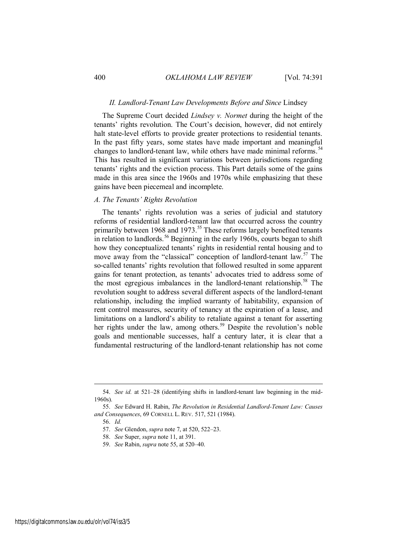## *II. Landlord-Tenant Law Developments Before and Since* Lindsey

The Supreme Court decided *Lindsey v. Normet* during the height of the tenants' rights revolution. The Court's decision, however, did not entirely halt state-level efforts to provide greater protections to residential tenants. In the past fifty years, some states have made important and meaningful changes to landlord-tenant law, while others have made minimal reforms.<sup>54</sup> This has resulted in significant variations between jurisdictions regarding tenants' rights and the eviction process. This Part details some of the gains made in this area since the 1960s and 1970s while emphasizing that these gains have been piecemeal and incomplete.

## *A. The Tenants' Rights Revolution*

The tenants' rights revolution was a series of judicial and statutory reforms of residential landlord-tenant law that occurred across the country primarily between 1968 and 1973.<sup>55</sup> These reforms largely benefited tenants in relation to landlords.<sup>56</sup> Beginning in the early 1960s, courts began to shift how they conceptualized tenants' rights in residential rental housing and to move away from the "classical" conception of landlord-tenant law.<sup>57</sup> The so-called tenants' rights revolution that followed resulted in some apparent gains for tenant protection, as tenants' advocates tried to address some of the most egregious imbalances in the landlord-tenant relationship.<sup>58</sup> The revolution sought to address several different aspects of the landlord-tenant relationship, including the implied warranty of habitability, expansion of rent control measures, security of tenancy at the expiration of a lease, and limitations on a landlord's ability to retaliate against a tenant for asserting her rights under the law, among others.<sup>59</sup> Despite the revolution's noble goals and mentionable successes, half a century later, it is clear that a fundamental restructuring of the landlord-tenant relationship has not come

<sup>54.</sup> *See id.* at 521–28 (identifying shifts in landlord-tenant law beginning in the mid-1960s).

<sup>55.</sup> *See* Edward H. Rabin, *The Revolution in Residential Landlord-Tenant Law: Causes and Consequences*, 69 CORNELL L. REV. 517, 521 (1984).

<sup>56.</sup> *Id.*

<sup>57.</sup> *See* Glendon, *supra* note 7, at 520, 522–23.

<sup>58.</sup> *See* Super, *supra* note 11, at 391.

<sup>59.</sup> *See* Rabin, *supra* note 55, at 520–40.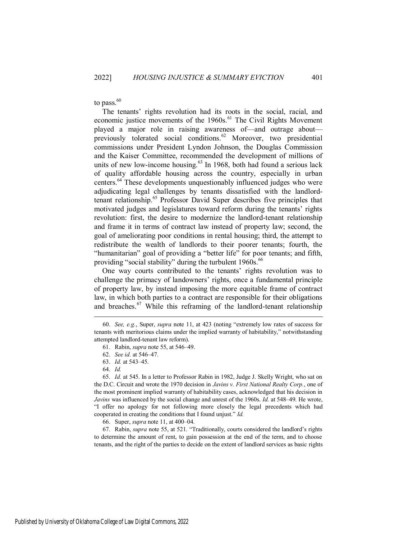to pass. $60$ 

The tenants' rights revolution had its roots in the social, racial, and economic justice movements of the 1960s.<sup>61</sup> The Civil Rights Movement played a major role in raising awareness of—and outrage about previously tolerated social conditions.<sup>62</sup> Moreover, two presidential commissions under President Lyndon Johnson, the Douglas Commission and the Kaiser Committee, recommended the development of millions of units of new low-income housing. $63$  In 1968, both had found a serious lack of quality affordable housing across the country, especially in urban centers.<sup>64</sup> These developments unquestionably influenced judges who were adjudicating legal challenges by tenants dissatisfied with the landlordtenant relationship.<sup>65</sup> Professor David Super describes five principles that motivated judges and legislatures toward reform during the tenants' rights revolution: first, the desire to modernize the landlord-tenant relationship and frame it in terms of contract law instead of property law; second, the goal of ameliorating poor conditions in rental housing; third, the attempt to redistribute the wealth of landlords to their poorer tenants; fourth, the "humanitarian" goal of providing a "better life" for poor tenants; and fifth, providing "social stability" during the turbulent 1960s.<sup>66</sup>

One way courts contributed to the tenants' rights revolution was to challenge the primacy of landowners' rights, once a fundamental principle of property law, by instead imposing the more equitable frame of contract law, in which both parties to a contract are responsible for their obligations and breaches.<sup>67</sup> While this reframing of the landlord-tenant relationship

 $\overline{a}$ 

66. Super, *supra* note 11, at 400–04.

67. Rabin, *supra* note 55, at 521. "Traditionally, courts considered the landlord's rights to determine the amount of rent, to gain possession at the end of the term, and to choose tenants, and the right of the parties to decide on the extent of landlord services as basic rights

<sup>60.</sup> *See, e.g.*, Super, *supra* note 11, at 423 (noting "extremely low rates of success for tenants with meritorious claims under the implied warranty of habitability," notwithstanding attempted landlord-tenant law reform).

<sup>61.</sup> Rabin, *supra* note 55, at 546–49.

<sup>62.</sup> *See id.* at 546–47.

<sup>63.</sup> *Id.* at 543–45.

<sup>64.</sup> *Id.*

<sup>65.</sup> *Id.* at 545. In a letter to Professor Rabin in 1982, Judge J. Skelly Wright, who sat on the D.C. Circuit and wrote the 1970 decision in *Javins v. First National Realty Corp.*, one of the most prominent implied warranty of habitability cases, acknowledged that his decision in *Javins* was influenced by the social change and unrest of the 1960s. *Id.* at 548–49. He wrote, "I offer no apology for not following more closely the legal precedents which had cooperated in creating the conditions that I found unjust." *Id.*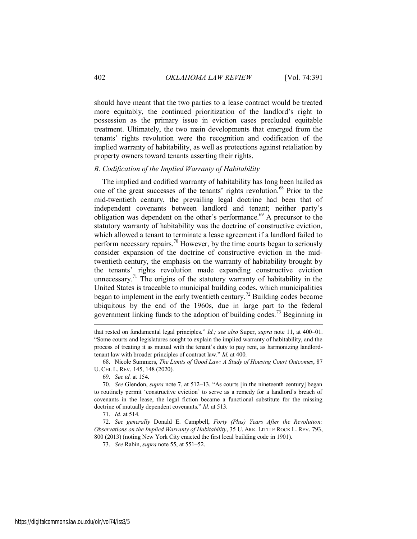should have meant that the two parties to a lease contract would be treated more equitably, the continued prioritization of the landlord's right to possession as the primary issue in eviction cases precluded equitable treatment. Ultimately, the two main developments that emerged from the tenants' rights revolution were the recognition and codification of the implied warranty of habitability, as well as protections against retaliation by property owners toward tenants asserting their rights.

## *B. Codification of the Implied Warranty of Habitability*

The implied and codified warranty of habitability has long been hailed as one of the great successes of the tenants' rights revolution.<sup>68</sup> Prior to the mid-twentieth century, the prevailing legal doctrine had been that of independent covenants between landlord and tenant; neither party's obligation was dependent on the other's performance.<sup>69</sup> A precursor to the statutory warranty of habitability was the doctrine of constructive eviction, which allowed a tenant to terminate a lease agreement if a landlord failed to perform necessary repairs.<sup>70</sup> However, by the time courts began to seriously consider expansion of the doctrine of constructive eviction in the midtwentieth century, the emphasis on the warranty of habitability brought by the tenants' rights revolution made expanding constructive eviction unnecessary.<sup>71</sup> The origins of the statutory warranty of habitability in the United States is traceable to municipal building codes, which municipalities began to implement in the early twentieth century.<sup>72</sup> Building codes became ubiquitous by the end of the 1960s, due in large part to the federal government linking funds to the adoption of building codes.<sup>73</sup> Beginning in

 $\overline{a}$ 

71. *Id.* at 514.

72. *See generally* Donald E. Campbell, *Forty (Plus) Years After the Revolution: Observations on the Implied Warranty of Habitability*, 35 U. ARK. LITTLE ROCK L. REV. 793, 800 (2013) (noting New York City enacted the first local building code in 1901).

73. *See* Rabin, *supra* note 55, at 551–52.

that rested on fundamental legal principles." *Id.; see also* Super, *supra* note 11, at 400–01. "Some courts and legislatures sought to explain the implied warranty of habitability, and the process of treating it as mutual with the tenant's duty to pay rent, as harmonizing landlordtenant law with broader principles of contract law." *Id.* at 400.

<sup>68.</sup> Nicole Summers, *The Limits of Good Law: A Study of Housing Court Outcomes*, 87 U. CHI. L. REV. 145, 148 (2020).

<sup>69.</sup> *See id.* at 154.

<sup>70.</sup> *See* Glendon, *supra* note 7, at 512–13. "As courts [in the nineteenth century] began to routinely permit 'constructive eviction' to serve as a remedy for a landlord's breach of covenants in the lease, the legal fiction became a functional substitute for the missing doctrine of mutually dependent covenants." *Id.* at 513.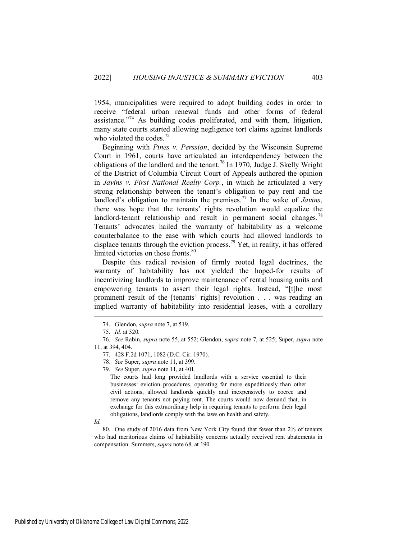1954, municipalities were required to adopt building codes in order to receive "federal urban renewal funds and other forms of federal assistance."<sup>74</sup> As building codes proliferated, and with them, litigation, many state courts started allowing negligence tort claims against landlords who violated the codes. $75$ 

Beginning with *Pines v. Perssion*, decided by the Wisconsin Supreme Court in 1961, courts have articulated an interdependency between the obligations of the landlord and the tenant.<sup>76</sup> In 1970, Judge J. Skelly Wright of the District of Columbia Circuit Court of Appeals authored the opinion in *Javins v. First National Realty Corp.*, in which he articulated a very strong relationship between the tenant's obligation to pay rent and the landlord's obligation to maintain the premises.<sup>77</sup> In the wake of *Javins*, there was hope that the tenants' rights revolution would equalize the landlord-tenant relationship and result in permanent social changes.<sup>78</sup> Tenants' advocates hailed the warranty of habitability as a welcome counterbalance to the ease with which courts had allowed landlords to displace tenants through the eviction process.<sup>79</sup> Yet, in reality, it has offered limited victories on those fronts.<sup>80</sup>

Despite this radical revision of firmly rooted legal doctrines, the warranty of habitability has not yielded the hoped-for results of incentivizing landlords to improve maintenance of rental housing units and empowering tenants to assert their legal rights. Instead, "[t]he most prominent result of the [tenants' rights] revolution . . . was reading an implied warranty of habitability into residential leases, with a corollary

The courts had long provided landlords with a service essential to their businesses: eviction procedures, operating far more expeditiously than other civil actions, allowed landlords quickly and inexpensively to coerce and remove any tenants not paying rent. The courts would now demand that, in exchange for this extraordinary help in requiring tenants to perform their legal obligations, landlords comply with the laws on health and safety.

*Id.* 

 $\overline{a}$ 

80. One study of 2016 data from New York City found that fewer than 2% of tenants who had meritorious claims of habitability concerns actually received rent abatements in compensation. Summers, *supra* note 68, at 190.

<sup>74.</sup> Glendon, *supra* note 7, at 519.

<sup>75.</sup> *Id.* at 520.

<sup>76.</sup> *See* Rabin, *supra* note 55, at 552; Glendon, *supra* note 7, at 525; Super, *supra* note 11, at 394, 404.

<sup>77. 428</sup> F.2d 1071, 1082 (D.C. Cir. 1970).

<sup>78.</sup> *See* Super, *supra* note 11, at 399.

<sup>79.</sup> *See* Super, *supra* note 11, at 401.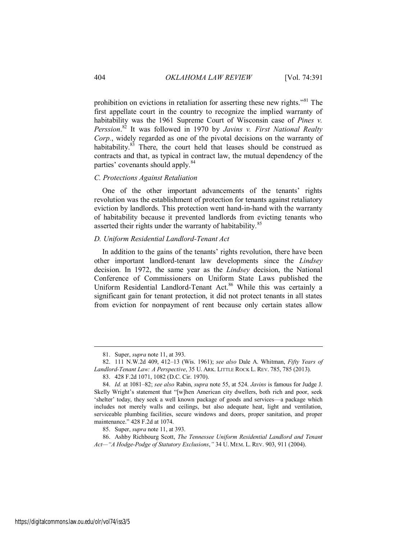prohibition on evictions in retaliation for asserting these new rights."<sup>81</sup> The first appellate court in the country to recognize the implied warranty of habitability was the 1961 Supreme Court of Wisconsin case of *Pines v. Perssion*. <sup>82</sup> It was followed in 1970 by *Javins v. First National Realty Corp.*, widely regarded as one of the pivotal decisions on the warranty of habitability.<sup>83</sup> There, the court held that leases should be construed as contracts and that, as typical in contract law, the mutual dependency of the parties' covenants should apply.<sup>84</sup>

#### *C. Protections Against Retaliation*

One of the other important advancements of the tenants' rights revolution was the establishment of protection for tenants against retaliatory eviction by landlords. This protection went hand-in-hand with the warranty of habitability because it prevented landlords from evicting tenants who asserted their rights under the warranty of habitability.<sup>85</sup>

## *D. Uniform Residential Landlord-Tenant Act*

In addition to the gains of the tenants' rights revolution, there have been other important landlord-tenant law developments since the *Lindsey* decision. In 1972, the same year as the *Lindsey* decision, the National Conference of Commissioners on Uniform State Laws published the Uniform Residential Landlord-Tenant Act.<sup>86</sup> While this was certainly a significant gain for tenant protection, it did not protect tenants in all states from eviction for nonpayment of rent because only certain states allow

<sup>81.</sup> Super, *supra* note 11, at 393.

<sup>82. 111</sup> N.W.2d 409, 412–13 (Wis. 1961); *see also* Dale A. Whitman, *Fifty Years of Landlord-Tenant Law: A Perspective*, 35 U. ARK. LITTLE ROCK L. REV. 785, 785 (2013).

<sup>83. 428</sup> F.2d 1071, 1082 (D.C. Cir. 1970).

<sup>84.</sup> *Id.* at 1081–82; *see also* Rabin, *supra* note 55, at 524. *Javins* is famous for Judge J. Skelly Wright's statement that "[w]hen American city dwellers, both rich and poor, seek 'shelter' today, they seek a well known package of goods and services—a package which includes not merely walls and ceilings, but also adequate heat, light and ventilation, serviceable plumbing facilities, secure windows and doors, proper sanitation, and proper maintenance." 428 F.2d at 1074.

<sup>85.</sup> Super, *supra* note 11, at 393.

<sup>86.</sup> Ashby Richbourg Scott, *The Tennessee Uniform Residential Landlord and Tenant Act—"A Hodge-Podge of Statutory Exclusions*,*"* 34 U. MEM. L. REV. 903, 911 (2004).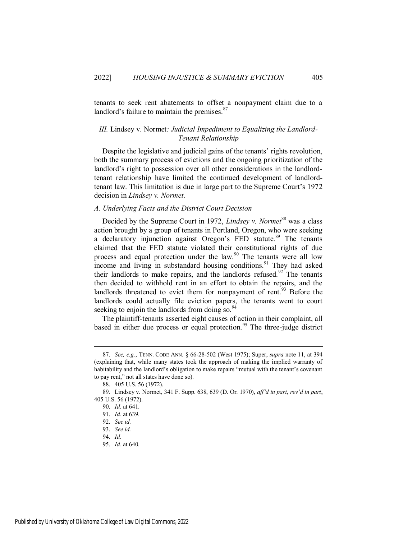tenants to seek rent abatements to offset a nonpayment claim due to a landlord's failure to maintain the premises. $87$ 

## *III.* Lindsey v. Normet*: Judicial Impediment to Equalizing the Landlord-Tenant Relationship*

Despite the legislative and judicial gains of the tenants' rights revolution, both the summary process of evictions and the ongoing prioritization of the landlord's right to possession over all other considerations in the landlordtenant relationship have limited the continued development of landlordtenant law. This limitation is due in large part to the Supreme Court's 1972 decision in *Lindsey v. Normet*.

#### *A. Underlying Facts and the District Court Decision*

Decided by the Supreme Court in 1972, *Lindsey v. Normet*<sup>88</sup> was a class action brought by a group of tenants in Portland, Oregon, who were seeking a declaratory injunction against Oregon's FED statute.<sup>89</sup> The tenants claimed that the FED statute violated their constitutional rights of due process and equal protection under the law.<sup>90</sup> The tenants were all low income and living in substandard housing conditions.<sup>91</sup> They had asked their landlords to make repairs, and the landlords refused.<sup>92</sup> The tenants then decided to withhold rent in an effort to obtain the repairs, and the landlords threatened to evict them for nonpayment of rent.<sup>93</sup> Before the landlords could actually file eviction papers, the tenants went to court seeking to enjoin the landlords from doing so.<sup>94</sup>

The plaintiff-tenants asserted eight causes of action in their complaint, all based in either due process or equal protection.<sup>95</sup> The three-judge district

<sup>87.</sup> *See, e.g.*, TENN. CODE ANN. § 66-28-502 (West 1975); Super, *supra* note 11, at 394 (explaining that, while many states took the approach of making the implied warranty of habitability and the landlord's obligation to make repairs "mutual with the tenant's covenant to pay rent," not all states have done so).

<sup>88. 405</sup> U.S. 56 (1972).

<sup>89.</sup> Lindsey v. Normet, 341 F. Supp. 638, 639 (D. Or. 1970), *aff'd in part*, *rev'd in part*, 405 U.S. 56 (1972).

<sup>90.</sup> *Id.* at 641.

<sup>91.</sup> *Id.* at 639.

<sup>92.</sup> *See id.* 

<sup>93.</sup> *See id.* 

<sup>94.</sup> *Id.*

<sup>95.</sup> *Id.* at 640.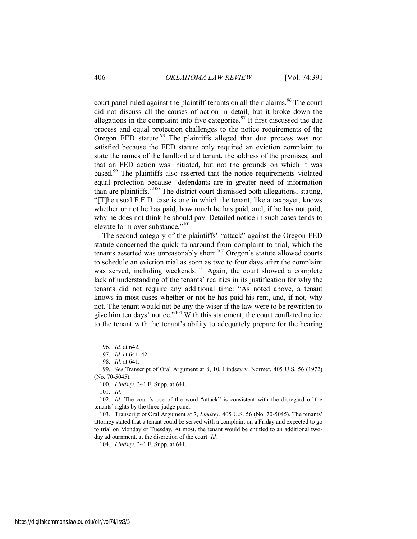court panel ruled against the plaintiff-tenants on all their claims.<sup>96</sup> The court did not discuss all the causes of action in detail, but it broke down the allegations in the complaint into five categories.<sup>97</sup> It first discussed the due process and equal protection challenges to the notice requirements of the Oregon FED statute.<sup>98</sup> The plaintiffs alleged that due process was not satisfied because the FED statute only required an eviction complaint to state the names of the landlord and tenant, the address of the premises, and that an FED action was initiated, but not the grounds on which it was based.<sup>99</sup> The plaintiffs also asserted that the notice requirements violated equal protection because "defendants are in greater need of information than are plaintiffs."<sup>100</sup> The district court dismissed both allegations, stating, "[T]he usual F.E.D. case is one in which the tenant, like a taxpayer, knows whether or not he has paid, how much he has paid, and, if he has not paid, why he does not think he should pay. Detailed notice in such cases tends to elevate form over substance."<sup>101</sup>

The second category of the plaintiffs' "attack" against the Oregon FED statute concerned the quick turnaround from complaint to trial, which the tenants asserted was unreasonably short.<sup>102</sup> Oregon's statute allowed courts to schedule an eviction trial as soon as two to four days after the complaint was served, including weekends.<sup>103</sup> Again, the court showed a complete lack of understanding of the tenants' realities in its justification for why the tenants did not require any additional time: "As noted above, a tenant knows in most cases whether or not he has paid his rent, and, if not, why not. The tenant would not be any the wiser if the law were to be rewritten to give him ten days' notice."<sup>104</sup> With this statement, the court conflated notice to the tenant with the tenant's ability to adequately prepare for the hearing

101. *Id.*

 $\overline{a}$ 

102. *Id.* The court's use of the word "attack" is consistent with the disregard of the tenants' rights by the three-judge panel.

103. Transcript of Oral Argument at 7, *Lindsey*, 405 U.S. 56 (No. 70-5045). The tenants' attorney stated that a tenant could be served with a complaint on a Friday and expected to go to trial on Monday or Tuesday. At most, the tenant would be entitled to an additional twoday adjournment, at the discretion of the court. *Id.* 

104. *Lindsey*, 341 F. Supp. at 641.

<sup>96.</sup> *Id.* at 642.

<sup>97.</sup> *Id.* at 641–42.

<sup>98.</sup> *Id.* at 641.

<sup>99.</sup> *See* Transcript of Oral Argument at 8, 10, Lindsey v. Normet, 405 U.S. 56 (1972) (No. 70-5045).

<sup>100.</sup> *Lindsey*, 341 F. Supp. at 641.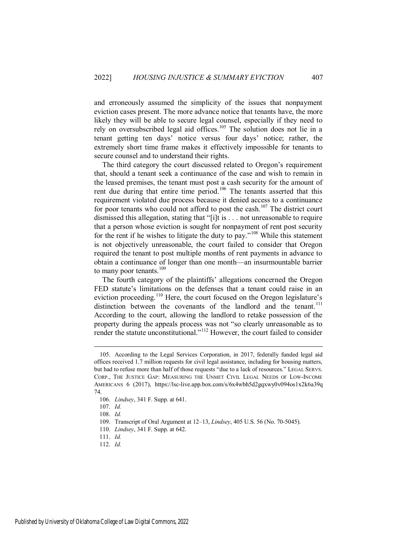and erroneously assumed the simplicity of the issues that nonpayment eviction cases present. The more advance notice that tenants have, the more likely they will be able to secure legal counsel, especially if they need to rely on oversubscribed legal aid offices.<sup>105</sup> The solution does not lie in a tenant getting ten days' notice versus four days' notice; rather, the extremely short time frame makes it effectively impossible for tenants to secure counsel and to understand their rights.

The third category the court discussed related to Oregon's requirement that, should a tenant seek a continuance of the case and wish to remain in the leased premises, the tenant must post a cash security for the amount of rent due during that entire time period.<sup>106</sup> The tenants asserted that this requirement violated due process because it denied access to a continuance for poor tenants who could not afford to post the cash.<sup>107</sup> The district court dismissed this allegation, stating that "[i]t is . . . not unreasonable to require that a person whose eviction is sought for nonpayment of rent post security for the rent if he wishes to litigate the duty to pay."<sup>108</sup> While this statement is not objectively unreasonable, the court failed to consider that Oregon required the tenant to post multiple months of rent payments in advance to obtain a continuance of longer than one month—an insurmountable barrier to many poor tenants.<sup>109</sup>

The fourth category of the plaintiffs' allegations concerned the Oregon FED statute's limitations on the defenses that a tenant could raise in an eviction proceeding.<sup>110</sup> Here, the court focused on the Oregon legislature's distinction between the covenants of the landlord and the tenant.<sup>111</sup> According to the court, allowing the landlord to retake possession of the property during the appeals process was not "so clearly unreasonable as to render the statute unconstitutional."<sup>112</sup> However, the court failed to consider

<sup>105.</sup> According to the Legal Services Corporation, in 2017, federally funded legal aid offices received 1.7 million requests for civil legal assistance, including for housing matters, but had to refuse more than half of those requests "due to a lack of resources." LEGAL SERVS. CORP., THE JUSTICE GAP: MEASURING THE UNMET CIVIL LEGAL NEEDS OF LOW-INCOME AMERICANS 6 (2017), https://lsc-live.app.box.com/s/6x4wbh5d2gqxwy0v094os1x2k6a39q 74.

<sup>106.</sup> *Lindsey*, 341 F. Supp. at 641.

<sup>107.</sup> *Id.* 

<sup>108.</sup> *Id.*

<sup>109.</sup> Transcript of Oral Argument at 12–13, *Lindsey*, 405 U.S. 56 (No. 70-5045).

<sup>110.</sup> *Lindsey*, 341 F. Supp. at 642.

<sup>111.</sup> *Id.*

<sup>112.</sup> *Id.*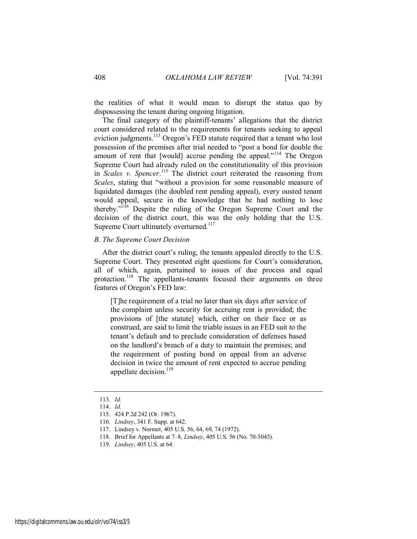the realities of what it would mean to disrupt the status quo by dispossessing the tenant during ongoing litigation.

The final category of the plaintiff-tenants' allegations that the district court considered related to the requirements for tenants seeking to appeal eviction judgments.<sup>113</sup> Oregon's FED statute required that a tenant who lost possession of the premises after trial needed to "post a bond for double the amount of rent that [would] accrue pending the appeal."<sup>114</sup> The Oregon Supreme Court had already ruled on the constitutionality of this provision in *Scales v. Spencer*. <sup>115</sup> The district court reiterated the reasoning from *Scales*, stating that "without a provision for some reasonable measure of liquidated damages (the doubled rent pending appeal), every ousted tenant would appeal, secure in the knowledge that he had nothing to lose thereby."<sup>116</sup> Despite the ruling of the Oregon Supreme Court and the decision of the district court, this was the only holding that the U.S. Supreme Court ultimately overturned.<sup>117</sup>

## *B. The Supreme Court Decision*

After the district court's ruling, the tenants appealed directly to the U.S. Supreme Court. They presented eight questions for Court's consideration, all of which, again, pertained to issues of due process and equal protection.<sup>118</sup> The appellants-tenants focused their arguments on three features of Oregon's FED law:

[T]he requirement of a trial no later than six days after service of the complaint unless security for accruing rent is provided; the provisions of [the statute] which, either on their face or as construed, are said to limit the triable issues in an FED suit to the tenant's default and to preclude consideration of defenses based on the landlord's breach of a duty to maintain the premises; and the requirement of posting bond on appeal from an adverse decision in twice the amount of rent expected to accrue pending appellate decision.<sup>119</sup>

<sup>113.</sup> *Id.* 

<sup>114.</sup> *Id.*

<sup>115. 424</sup> P.2d 242 (Or. 1967).

<sup>116.</sup> *Lindsey*, 341 F. Supp. at 642.

<sup>117.</sup> Lindsey v. Normet, 405 U.S. 56, 64, 69, 74 (1972).

<sup>118.</sup> Brief for Appellants at 7–8, *Lindsey*, 405 U.S. 56 (No. 70-5045).

<sup>119.</sup> *Lindsey*, 405 U.S. at 64.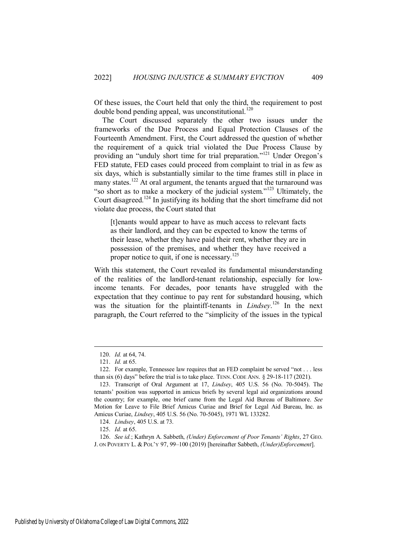Of these issues, the Court held that only the third, the requirement to post double bond pending appeal, was unconstitutional.<sup>120</sup>

The Court discussed separately the other two issues under the frameworks of the Due Process and Equal Protection Clauses of the Fourteenth Amendment. First, the Court addressed the question of whether the requirement of a quick trial violated the Due Process Clause by providing an "unduly short time for trial preparation."<sup>121</sup> Under Oregon's FED statute, FED cases could proceed from complaint to trial in as few as six days, which is substantially similar to the time frames still in place in many states.<sup>122</sup> At oral argument, the tenants argued that the turnaround was "so short as to make a mockery of the judicial system."<sup>123</sup> Ultimately, the Court disagreed.<sup>124</sup> In justifying its holding that the short timeframe did not violate due process, the Court stated that

[t]enants would appear to have as much access to relevant facts as their landlord, and they can be expected to know the terms of their lease, whether they have paid their rent, whether they are in possession of the premises, and whether they have received a proper notice to quit, if one is necessary.<sup>125</sup>

With this statement, the Court revealed its fundamental misunderstanding of the realities of the landlord-tenant relationship, especially for lowincome tenants. For decades, poor tenants have struggled with the expectation that they continue to pay rent for substandard housing, which was the situation for the plaintiff-tenants in *Lindsey*. <sup>126</sup> In the next paragraph, the Court referred to the "simplicity of the issues in the typical

<sup>120.</sup> *Id.* at 64, 74.

<sup>121.</sup> *Id.* at 65.

<sup>122.</sup> For example, Tennessee law requires that an FED complaint be served "not . . . less than six (6) days" before the trial is to take place. TENN. CODE ANN.  $\S$  29-18-117 (2021).

<sup>123.</sup> Transcript of Oral Argument at 17, *Lindsey*, 405 U.S. 56 (No. 70-5045). The tenants' position was supported in amicus briefs by several legal aid organizations around the country; for example, one brief came from the Legal Aid Bureau of Baltimore. *See* Motion for Leave to File Brief Amicus Curiae and Brief for Legal Aid Bureau, Inc. as Amicus Curiae, *Lindsey*, 405 U.S. 56 (No. 70-5045), 1971 WL 133282.

<sup>124.</sup> *Lindsey*, 405 U.S. at 73.

<sup>125.</sup> *Id.* at 65.

<sup>126.</sup> *See id.*; Kathryn A. Sabbeth, *(Under) Enforcement of Poor Tenants' Rights*, 27 GEO. J. ON POVERTY L. & POL'Y 97, 99–100 (2019) [hereinafter Sabbeth, *(Under)Enforcement*].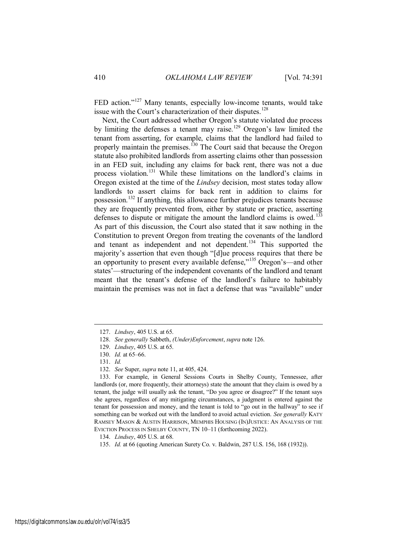FED action."<sup>127</sup> Many tenants, especially low-income tenants, would take issue with the Court's characterization of their disputes.<sup>128</sup>

Next, the Court addressed whether Oregon's statute violated due process by limiting the defenses a tenant may raise.<sup>129</sup> Oregon's law limited the tenant from asserting, for example, claims that the landlord had failed to properly maintain the premises.<sup>130</sup> The Court said that because the Oregon statute also prohibited landlords from asserting claims other than possession in an FED suit, including any claims for back rent, there was not a due process violation.<sup>131</sup> While these limitations on the landlord's claims in Oregon existed at the time of the *Lindsey* decision, most states today allow landlords to assert claims for back rent in addition to claims for possession.<sup>132</sup> If anything, this allowance further prejudices tenants because they are frequently prevented from, either by statute or practice, asserting defenses to dispute or mitigate the amount the landlord claims is owed.<sup>133</sup> As part of this discussion, the Court also stated that it saw nothing in the Constitution to prevent Oregon from treating the covenants of the landlord and tenant as independent and not dependent.<sup>134</sup> This supported the majority's assertion that even though "[d]ue process requires that there be an opportunity to present every available defense,"<sup>135</sup> Oregon's—and other states'—structuring of the independent covenants of the landlord and tenant meant that the tenant's defense of the landlord's failure to habitably maintain the premises was not in fact a defense that was "available" under

<sup>127.</sup> *Lindsey*, 405 U.S. at 65.

<sup>128.</sup> *See generally* Sabbeth, *(Under)Enforcement*, *supra* note 126.

<sup>129.</sup> *Lindsey*, 405 U.S. at 65.

<sup>130.</sup> *Id.* at 65–66.

<sup>131.</sup> *Id.*

<sup>132.</sup> *See* Super, *supra* note 11, at 405, 424.

<sup>133.</sup> For example, in General Sessions Courts in Shelby County, Tennessee, after landlords (or, more frequently, their attorneys) state the amount that they claim is owed by a tenant, the judge will usually ask the tenant, "Do you agree or disagree?" If the tenant says she agrees, regardless of any mitigating circumstances, a judgment is entered against the tenant for possession and money, and the tenant is told to "go out in the hallway" to see if something can be worked out with the landlord to avoid actual eviction. *See generally* KATY RAMSEY MASON & AUSTIN HARRISON, MEMPHIS HOUSING (IN)JUSTICE: AN ANALYSIS OF THE EVICTION PROCESS IN SHELBY COUNTY, TN 10–11 (forthcoming 2022).

<sup>134.</sup> *Lindsey*, 405 U.S. at 68.

<sup>135.</sup> *Id.* at 66 (quoting American Surety Co. v. Baldwin, 287 U.S. 156, 168 (1932)).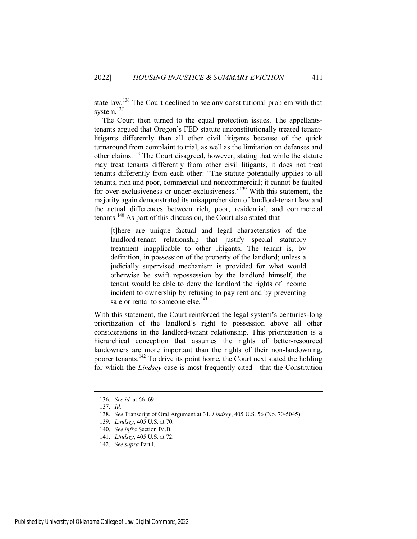state law.<sup>136</sup> The Court declined to see any constitutional problem with that system.<sup>137</sup>

The Court then turned to the equal protection issues. The appellantstenants argued that Oregon's FED statute unconstitutionally treated tenantlitigants differently than all other civil litigants because of the quick turnaround from complaint to trial, as well as the limitation on defenses and other claims.<sup>138</sup> The Court disagreed, however, stating that while the statute may treat tenants differently from other civil litigants, it does not treat tenants differently from each other: "The statute potentially applies to all tenants, rich and poor, commercial and noncommercial; it cannot be faulted for over-exclusiveness or under-exclusiveness."<sup>139</sup> With this statement, the majority again demonstrated its misapprehension of landlord-tenant law and the actual differences between rich, poor, residential, and commercial tenants.<sup>140</sup> As part of this discussion, the Court also stated that

[t]here are unique factual and legal characteristics of the landlord-tenant relationship that justify special statutory treatment inapplicable to other litigants. The tenant is, by definition, in possession of the property of the landlord; unless a judicially supervised mechanism is provided for what would otherwise be swift repossession by the landlord himself, the tenant would be able to deny the landlord the rights of income incident to ownership by refusing to pay rent and by preventing sale or rental to someone else.<sup>141</sup>

With this statement, the Court reinforced the legal system's centuries-long prioritization of the landlord's right to possession above all other considerations in the landlord-tenant relationship. This prioritization is a hierarchical conception that assumes the rights of better-resourced landowners are more important than the rights of their non-landowning, poorer tenants.<sup>142</sup> To drive its point home, the Court next stated the holding for which the *Lindsey* case is most frequently cited—that the Constitution

<sup>136.</sup> *See id.* at 66–69.

<sup>137.</sup> *Id.*

<sup>138.</sup> *See* Transcript of Oral Argument at 31, *Lindsey*, 405 U.S. 56 (No. 70-5045).

<sup>139.</sup> *Lindsey*, 405 U.S. at 70.

<sup>140.</sup> *See infra* Section IV.B.

<sup>141.</sup> *Lindsey*, 405 U.S. at 72.

<sup>142.</sup> *See supra* Part I.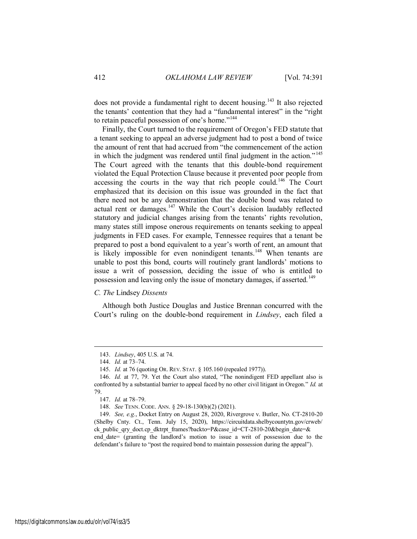does not provide a fundamental right to decent housing.<sup>143</sup> It also rejected the tenants' contention that they had a "fundamental interest" in the "right to retain peaceful possession of one's home."<sup>144</sup>

Finally, the Court turned to the requirement of Oregon's FED statute that a tenant seeking to appeal an adverse judgment had to post a bond of twice the amount of rent that had accrued from "the commencement of the action in which the judgment was rendered until final judgment in the action."<sup>145</sup> The Court agreed with the tenants that this double-bond requirement violated the Equal Protection Clause because it prevented poor people from accessing the courts in the way that rich people could.<sup>146</sup> The Court emphasized that its decision on this issue was grounded in the fact that there need not be any demonstration that the double bond was related to actual rent or damages.<sup>147</sup> While the Court's decision laudably reflected statutory and judicial changes arising from the tenants' rights revolution, many states still impose onerous requirements on tenants seeking to appeal judgments in FED cases. For example, Tennessee requires that a tenant be prepared to post a bond equivalent to a year's worth of rent, an amount that is likely impossible for even nonindigent tenants.<sup>148</sup> When tenants are unable to post this bond, courts will routinely grant landlords' motions to issue a writ of possession, deciding the issue of who is entitled to possession and leaving only the issue of monetary damages, if asserted.<sup>149</sup>

## *C. The* Lindsey *Dissents*

Although both Justice Douglas and Justice Brennan concurred with the Court's ruling on the double-bond requirement in *Lindsey*, each filed a

<sup>143.</sup> *Lindsey*, 405 U.S. at 74.

<sup>144.</sup> *Id.* at 73–74.

<sup>145.</sup> *Id.* at 76 (quoting OR. REV. STAT. § 105.160 (repealed 1977)).

<sup>146.</sup> *Id.* at 77, 79. Yet the Court also stated, "The nonindigent FED appellant also is confronted by a substantial barrier to appeal faced by no other civil litigant in Oregon." *Id.* at 79.

<sup>147.</sup> *Id.* at 78–79.

<sup>148.</sup> *See* TENN. CODE. ANN. § 29-18-130(b)(2) (2021).

<sup>149.</sup> *See, e.g.*, Docket Entry on August 28, 2020, Rivergrove v. Butler, No. CT-2810-20 (Shelby Cnty. Ct., Tenn. July 15, 2020), https://circuitdata.shelbycountytn.gov/crweb/ ck public qry doct.cp dktrpt frames?backto=P&case id=CT-2810-20&begin date=& end\_date= (granting the landlord's motion to issue a writ of possession due to the defendant's failure to "post the required bond to maintain possession during the appeal").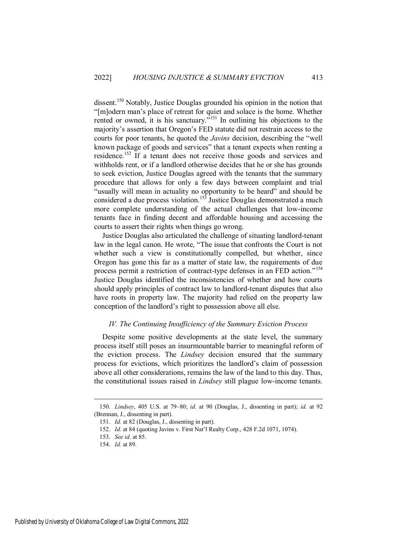dissent.<sup>150</sup> Notably, Justice Douglas grounded his opinion in the notion that "[m]odern man's place of retreat for quiet and solace is the home. Whether rented or owned, it is his sanctuary.<sup> $5151$ </sup> In outlining his objections to the majority's assertion that Oregon's FED statute did not restrain access to the courts for poor tenants, he quoted the *Javins* decision, describing the "well known package of goods and services" that a tenant expects when renting a residence.<sup>152</sup> If a tenant does not receive those goods and services and withholds rent, or if a landlord otherwise decides that he or she has grounds to seek eviction, Justice Douglas agreed with the tenants that the summary procedure that allows for only a few days between complaint and trial "usually will mean in actuality no opportunity to be heard" and should be considered a due process violation.<sup>153</sup> Justice Douglas demonstrated a much more complete understanding of the actual challenges that low-income tenants face in finding decent and affordable housing and accessing the courts to assert their rights when things go wrong.

Justice Douglas also articulated the challenge of situating landlord-tenant law in the legal canon. He wrote, "The issue that confronts the Court is not whether such a view is constitutionally compelled, but whether, since Oregon has gone this far as a matter of state law, the requirements of due process permit a restriction of contract-type defenses in an FED action."<sup>154</sup> Justice Douglas identified the inconsistencies of whether and how courts should apply principles of contract law to landlord-tenant disputes that also have roots in property law. The majority had relied on the property law conception of the landlord's right to possession above all else.

## *IV. The Continuing Insufficiency of the Summary Eviction Process*

Despite some positive developments at the state level, the summary process itself still poses an insurmountable barrier to meaningful reform of the eviction process. The *Lindsey* decision ensured that the summary process for evictions, which prioritizes the landlord's claim of possession above all other considerations, remains the law of the land to this day. Thus, the constitutional issues raised in *Lindsey* still plague low-income tenants.

<sup>150.</sup> *Lindsey*, 405 U.S. at 79–80; *id.* at 90 (Douglas, J., dissenting in part); *id.* at 92 (Brennan, J., dissenting in part).

<sup>151.</sup> *Id.* at 82 (Douglas, J., dissenting in part).

<sup>152.</sup> *Id.* at 84 (quoting Javins v. First Nat'l Realty Corp., 428 F.2d 1071, 1074).

<sup>153.</sup> *See id.* at 85.

<sup>154.</sup> *Id.* at 89.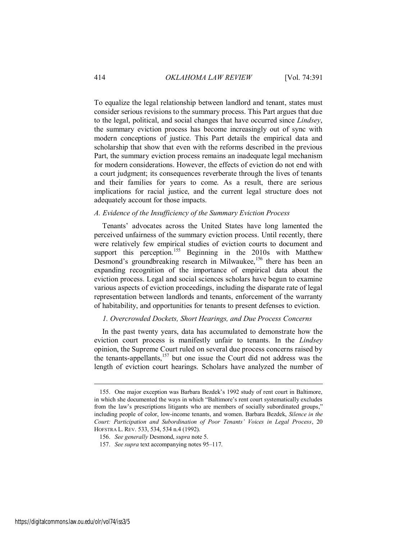To equalize the legal relationship between landlord and tenant, states must consider serious revisions to the summary process. This Part argues that due to the legal, political, and social changes that have occurred since *Lindsey*, the summary eviction process has become increasingly out of sync with modern conceptions of justice. This Part details the empirical data and scholarship that show that even with the reforms described in the previous Part, the summary eviction process remains an inadequate legal mechanism for modern considerations. However, the effects of eviction do not end with a court judgment; its consequences reverberate through the lives of tenants and their families for years to come. As a result, there are serious implications for racial justice, and the current legal structure does not adequately account for those impacts.

## *A. Evidence of the Insufficiency of the Summary Eviction Process*

Tenants' advocates across the United States have long lamented the perceived unfairness of the summary eviction process. Until recently, there were relatively few empirical studies of eviction courts to document and support this perception.<sup>155</sup> Beginning in the 2010s with Matthew Desmond's groundbreaking research in Milwaukee,<sup>156</sup> there has been an expanding recognition of the importance of empirical data about the eviction process. Legal and social sciences scholars have begun to examine various aspects of eviction proceedings, including the disparate rate of legal representation between landlords and tenants, enforcement of the warranty of habitability, and opportunities for tenants to present defenses to eviction.

## *1. Overcrowded Dockets, Short Hearings, and Due Process Concerns*

In the past twenty years, data has accumulated to demonstrate how the eviction court process is manifestly unfair to tenants. In the *Lindsey* opinion, the Supreme Court ruled on several due process concerns raised by the tenants-appellants,<sup>157</sup> but one issue the Court did not address was the length of eviction court hearings. Scholars have analyzed the number of

<sup>155.</sup> One major exception was Barbara Bezdek's 1992 study of rent court in Baltimore, in which she documented the ways in which "Baltimore's rent court systematically excludes from the law's prescriptions litigants who are members of socially subordinated groups," including people of color, low-income tenants, and women. Barbara Bezdek, *Silence in the Court: Participation and Subordination of Poor Tenants' Voices in Legal Process*, 20 HOFSTRA L. REV. 533, 534, 534 n.4 (1992).

<sup>156.</sup> *See generally* Desmond, *supra* note 5.

<sup>157.</sup> *See supra* text accompanying notes 95–117.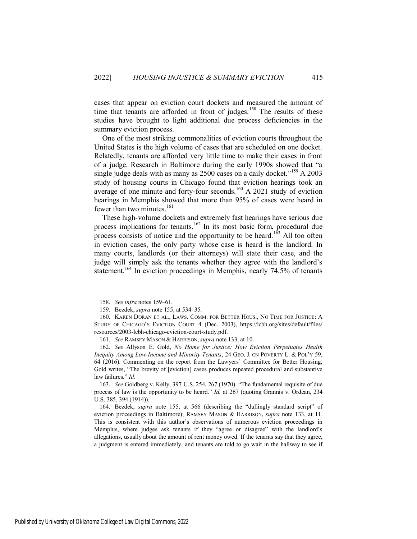cases that appear on eviction court dockets and measured the amount of time that tenants are afforded in front of judges.<sup>158</sup> The results of these studies have brought to light additional due process deficiencies in the summary eviction process.

One of the most striking commonalities of eviction courts throughout the United States is the high volume of cases that are scheduled on one docket. Relatedly, tenants are afforded very little time to make their cases in front of a judge. Research in Baltimore during the early 1990s showed that "a single judge deals with as many as  $2500$  cases on a daily docket."<sup>159</sup> A 2003 study of housing courts in Chicago found that eviction hearings took an average of one minute and forty-four seconds.<sup>160</sup> A 2021 study of eviction hearings in Memphis showed that more than 95% of cases were heard in fewer than two minutes. $^{161}$ 

These high-volume dockets and extremely fast hearings have serious due process implications for tenants.<sup>162</sup> In its most basic form, procedural due process consists of notice and the opportunity to be heard.<sup>163</sup> All too often in eviction cases, the only party whose case is heard is the landlord. In many courts, landlords (or their attorneys) will state their case, and the judge will simply ask the tenants whether they agree with the landlord's statement.<sup>164</sup> In eviction proceedings in Memphis, nearly 74.5% of tenants

 $\overline{a}$ 

163. *See* Goldberg v. Kelly, 397 U.S. 254, 267 (1970). "The fundamental requisite of due process of law is the opportunity to be heard." *Id.* at 267 (quoting Grannis v. Ordean, 234 U.S. 385, 394 (1914)).

164. Bezdek, *supra* note 155, at 566 (describing the "dullingly standard script" of eviction proceedings in Baltimore); RAMSEY MASON & HARRISON, *supra* note 133, at 11. This is consistent with this author's observations of numerous eviction proceedings in Memphis, where judges ask tenants if they "agree or disagree" with the landlord's allegations, usually about the amount of rent money owed. If the tenants say that they agree, a judgment is entered immediately, and tenants are told to go wait in the hallway to see if

<sup>158.</sup> *See infra* notes 159–61.

<sup>159.</sup> Bezdek, *supra* note 155, at 534–35.

<sup>160.</sup> KAREN DORAN ET AL., LAWS. COMM. FOR BETTER HOUS., NO TIME FOR JUSTICE: A STUDY OF CHICAGO'S EVICTION COURT 4 (Dec. 2003), https://lcbh.org/sites/default/files/ resources/2003-lcbh-chicago-eviction-court-study.pdf.

<sup>161.</sup> *See* RAMSEY MASON & HARRISON, *supra* note 133, at 10.

<sup>162.</sup> *See* Allyson E. Gold, *No Home for Justice: How Eviction Perpetuates Health Inequity Among Low-Income and Minority Tenants*, 24 GEO. J. ON POVERTY L. & POL'Y 59, 64 (2016). Commenting on the report from the Lawyers' Committee for Better Housing, Gold writes, "The brevity of [eviction] cases produces repeated procedural and substantive law failures." *Id.*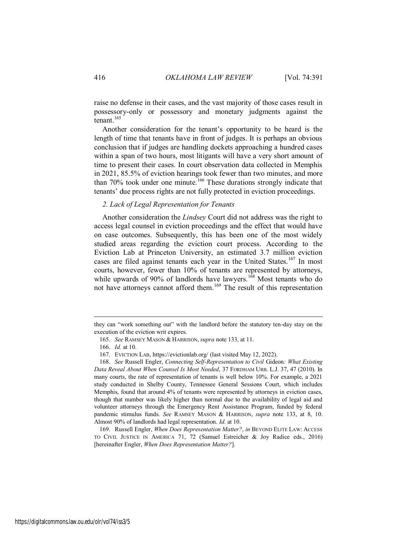raise no defense in their cases, and the vast majority of those cases result in possessory-only or possessory and monetary judgments against the tenant.<sup>165</sup>

Another consideration for the tenant's opportunity to be heard is the length of time that tenants have in front of judges. It is perhaps an obvious conclusion that if judges are handling dockets approaching a hundred cases within a span of two hours, most litigants will have a very short amount of time to present their cases. In court observation data collected in Memphis in 2021, 85.5% of eviction hearings took fewer than two minutes, and more than  $70\%$  took under one minute.<sup>166</sup> These durations strongly indicate that tenants' due process rights are not fully protected in eviction proceedings.

## *2. Lack of Legal Representation for Tenants*

Another consideration the *Lindsey* Court did not address was the right to access legal counsel in eviction proceedings and the effect that would have on case outcomes. Subsequently, this has been one of the most widely studied areas regarding the eviction court process. According to the Eviction Lab at Princeton University, an estimated 3.7 million eviction cases are filed against tenants each year in the United States.<sup>167</sup> In most courts, however, fewer than 10% of tenants are represented by attorneys, while upwards of 90% of landlords have lawyers.<sup>168</sup> Most tenants who do not have attorneys cannot afford them.<sup>169</sup> The result of this representation

 $\overline{a}$ 

169. Russell Engler, *When Does Representation Matter?*, *in* BEYOND ELITE LAW: ACCESS TO CIVIL JUSTICE IN AMERICA 71, 72 (Samuel Estreicher & Joy Radice eds., 2016) [hereinafter Engler, *When Does Representation Matter?*].

they can "work something out" with the landlord before the statutory ten-day stay on the execution of the eviction writ expires.

<sup>165.</sup> *See* RAMSEY MASON & HARRISON, *supra* note 133, at 11.

<sup>166.</sup> *Id.* at 10.

<sup>167.</sup> EVICTION LAB, https://evictionlab.org/ (last visited May 12, 2022).

<sup>168.</sup> *See* Russell Engler, *Connecting Self-Representation to Civil* Gideon*: What Existing Data Reveal About When Counsel Is Most Needed*, 37 FORDHAM URB. L.J. 37, 47 (2010). In many courts, the rate of representation of tenants is well below 10%. For example, a 2021 study conducted in Shelby County, Tennessee General Sessions Court, which includes Memphis, found that around 4% of tenants were represented by attorneys in eviction cases, though that number was likely higher than normal due to the availability of legal aid and volunteer attorneys through the Emergency Rent Assistance Program, funded by federal pandemic stimulus funds. *See* RAMSEY MASON & HARRISON, *supra* note 133, at 8, 10. Almost 90% of landlords had legal representation. *Id.* at 10.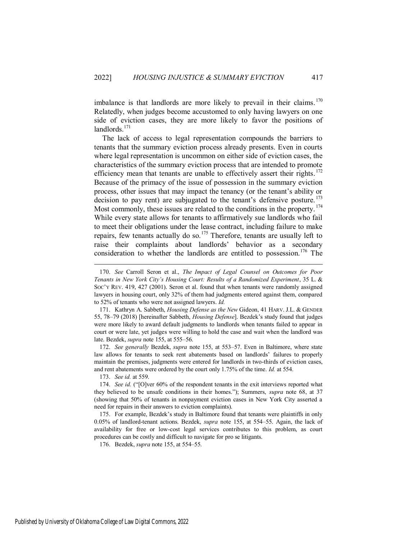imbalance is that landlords are more likely to prevail in their claims.<sup>170</sup> Relatedly, when judges become accustomed to only having lawyers on one side of eviction cases, they are more likely to favor the positions of landlords. $171$ 

The lack of access to legal representation compounds the barriers to tenants that the summary eviction process already presents. Even in courts where legal representation is uncommon on either side of eviction cases, the characteristics of the summary eviction process that are intended to promote efficiency mean that tenants are unable to effectively assert their rights. $172$ Because of the primacy of the issue of possession in the summary eviction process, other issues that may impact the tenancy (or the tenant's ability or decision to pay rent) are subjugated to the tenant's defensive posture.<sup>173</sup> Most commonly, these issues are related to the conditions in the property.<sup>174</sup> While every state allows for tenants to affirmatively sue landlords who fail to meet their obligations under the lease contract, including failure to make repairs, few tenants actually do so.<sup>175</sup> Therefore, tenants are usually left to raise their complaints about landlords' behavior as a secondary consideration to whether the landlords are entitled to possession.<sup>176</sup> The

172. *See generally* Bezdek, *supra* note 155, at 553–57. Even in Baltimore, where state law allows for tenants to seek rent abatements based on landlords' failures to properly maintain the premises, judgments were entered for landlords in two-thirds of eviction cases, and rent abatements were ordered by the court only 1.75% of the time. *Id.* at 554.

173. *See id.* at 559.

 $\overline{a}$ 

176. Bezdek, *supra* note 155, at 554–55.

<sup>170.</sup> *See* Carroll Seron et al., *The Impact of Legal Counsel on Outcomes for Poor Tenants in New York City's Housing Court: Results of a Randomized Experiment*, 35 L. & SOC'Y REV. 419, 427 (2001). Seron et al. found that when tenants were randomly assigned lawyers in housing court, only 32% of them had judgments entered against them, compared to 52% of tenants who were not assigned lawyers. *Id.*

<sup>171.</sup> Kathryn A. Sabbeth, *Housing Defense as the New* Gideon, 41 HARV. J.L. & GENDER 55, 78–79 (2018) [hereinafter Sabbeth, *Housing Defense*]. Bezdek's study found that judges were more likely to award default judgments to landlords when tenants failed to appear in court or were late, yet judges were willing to hold the case and wait when the landlord was late. Bezdek, *supra* note 155, at 555–56.

<sup>174.</sup> *See id.* ("[O]ver 60% of the respondent tenants in the exit interviews reported what they believed to be unsafe conditions in their homes."); Summers, *supra* note 68, at 37 (showing that 50% of tenants in nonpayment eviction cases in New York City asserted a need for repairs in their answers to eviction complaints).

<sup>175.</sup> For example, Bezdek's study in Baltimore found that tenants were plaintiffs in only 0.05% of landlord-tenant actions. Bezdek, *supra* note 155, at 554–55. Again, the lack of availability for free or low-cost legal services contributes to this problem, as court procedures can be costly and difficult to navigate for pro se litigants.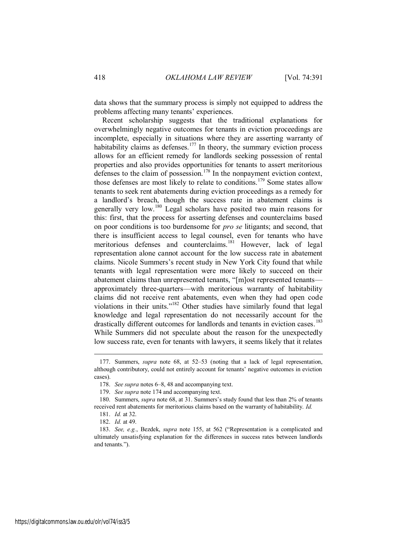data shows that the summary process is simply not equipped to address the problems affecting many tenants' experiences.

Recent scholarship suggests that the traditional explanations for overwhelmingly negative outcomes for tenants in eviction proceedings are incomplete, especially in situations where they are asserting warranty of habitability claims as defenses.<sup>177</sup> In theory, the summary eviction process allows for an efficient remedy for landlords seeking possession of rental properties and also provides opportunities for tenants to assert meritorious defenses to the claim of possession.<sup>178</sup> In the nonpayment eviction context, those defenses are most likely to relate to conditions.<sup>179</sup> Some states allow tenants to seek rent abatements during eviction proceedings as a remedy for a landlord's breach, though the success rate in abatement claims is generally very low.<sup>180</sup> Legal scholars have posited two main reasons for this: first, that the process for asserting defenses and counterclaims based on poor conditions is too burdensome for *pro se* litigants; and second, that there is insufficient access to legal counsel, even for tenants who have meritorious defenses and counterclaims.<sup>181</sup> However, lack of legal representation alone cannot account for the low success rate in abatement claims. Nicole Summers's recent study in New York City found that while tenants with legal representation were more likely to succeed on their abatement claims than unrepresented tenants, "[m]ost represented tenants approximately three-quarters—with meritorious warranty of habitability claims did not receive rent abatements, even when they had open code violations in their units."<sup>182</sup> Other studies have similarly found that legal knowledge and legal representation do not necessarily account for the drastically different outcomes for landlords and tenants in eviction cases.<sup>183</sup> While Summers did not speculate about the reason for the unexpectedly low success rate, even for tenants with lawyers, it seems likely that it relates

<sup>177.</sup> Summers, *supra* note 68, at 52–53 (noting that a lack of legal representation, although contributory, could not entirely account for tenants' negative outcomes in eviction cases).

<sup>178.</sup> *See supra* notes 6–8, 48 and accompanying text.

<sup>179.</sup> *See supra* note 174 and accompanying text.

<sup>180.</sup> Summers, *supra* note 68, at 31. Summers's study found that less than 2% of tenants received rent abatements for meritorious claims based on the warranty of habitability. *Id.*

<sup>181.</sup> *Id.* at 32.

<sup>182.</sup> *Id.* at 49.

<sup>183.</sup> *See, e.g.*, Bezdek, *supra* note 155, at 562 ("Representation is a complicated and ultimately unsatisfying explanation for the differences in success rates between landlords and tenants.").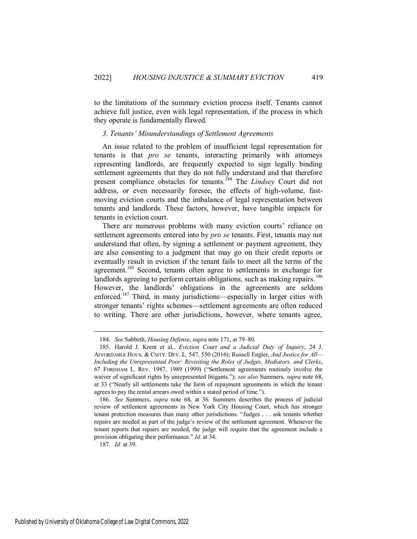to the limitations of the summary eviction process itself. Tenants cannot achieve full justice, even with legal representation, if the process in which they operate is fundamentally flawed.

## *3. Tenants' Misunderstandings of Settlement Agreements*

An issue related to the problem of insufficient legal representation for tenants is that *pro se* tenants, interacting primarily with attorneys representing landlords, are frequently expected to sign legally binding settlement agreements that they do not fully understand and that therefore present compliance obstacles for tenants.<sup>184</sup> The *Lindsey* Court did not address, or even necessarily foresee, the effects of high-volume, fastmoving eviction courts and the imbalance of legal representation between tenants and landlords. These factors, however, have tangible impacts for tenants in eviction court.

There are numerous problems with many eviction courts' reliance on settlement agreements entered into by *pro se* tenants. First, tenants may not understand that often, by signing a settlement or payment agreement, they are also consenting to a judgment that may go on their credit reports or eventually result in eviction if the tenant fails to meet all the terms of the agreement.<sup>185</sup> Second, tenants often agree to settlements in exchange for landlords agreeing to perform certain obligations, such as making repairs.<sup>186</sup> However, the landlords' obligations in the agreements are seldom enforced.<sup>187</sup> Third, in many jurisdictions—especially in larger cities with stronger tenants' rights schemes—settlement agreements are often reduced to writing. There are other jurisdictions, however, where tenants agree,

<sup>184.</sup> *See* Sabbeth, *Housing Defense*, *supra* note 171, at 79–80.

<sup>185.</sup> Harold J. Krent et al., *Eviction Court and a Judicial Duty of Inquiry*, 24 J. AFFORDABLE HOUS. & CMTY. DEV. L. 547, 550 (2016); Russell Engler, *And Justice for All— Including the Unrepresented Poor: Revisiting the Roles of Judges, Mediators, and Clerks*, 67 FORDHAM L. REV. 1987, 1989 (1999) ("Settlement agreements routinely involve the waiver of significant rights by unrepresented litigants."); *see also* Summers, *supra* note 68, at 33 ("Nearly all settlements take the form of repayment agreements in which the tenant agrees to pay the rental arrears owed within a stated period of time.").

<sup>186.</sup> *See* Summers, *supra* note 68, at 36. Summers describes the process of judicial review of settlement agreements in New York City Housing Court, which has stronger tenant protection measures than many other jurisdictions. "Judges . . . ask tenants whether repairs are needed as part of the judge's review of the settlement agreement. Whenever the tenant reports that repairs are needed, the judge will require that the agreement include a provision obligating their performance." *Id.* at 34.

<sup>187.</sup> *Id.* at 39.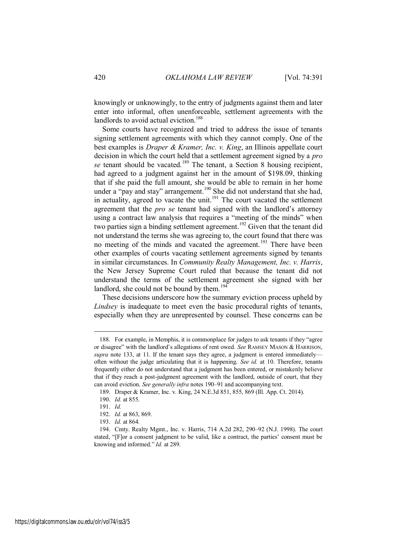knowingly or unknowingly, to the entry of judgments against them and later enter into informal, often unenforceable, settlement agreements with the landlords to avoid actual eviction.<sup>188</sup>

Some courts have recognized and tried to address the issue of tenants signing settlement agreements with which they cannot comply. One of the best examples is *Draper & Kramer, Inc. v. King*, an Illinois appellate court decision in which the court held that a settlement agreement signed by a *pro se* tenant should be vacated.<sup>189</sup> The tenant, a Section 8 housing recipient, had agreed to a judgment against her in the amount of \$198.09, thinking that if she paid the full amount, she would be able to remain in her home under a "pay and stay" arrangement.<sup>190</sup> She did not understand that she had, in actuality, agreed to vacate the unit.<sup>191</sup> The court vacated the settlement agreement that the *pro se* tenant had signed with the landlord's attorney using a contract law analysis that requires a "meeting of the minds" when two parties sign a binding settlement agreement.<sup>192</sup> Given that the tenant did not understand the terms she was agreeing to, the court found that there was no meeting of the minds and vacated the agreement.<sup>193</sup> There have been other examples of courts vacating settlement agreements signed by tenants in similar circumstances. In *Community Realty Management, Inc. v. Harris*, the New Jersey Supreme Court ruled that because the tenant did not understand the terms of the settlement agreement she signed with her landlord, she could not be bound by them. $194$ 

These decisions underscore how the summary eviction process upheld by *Lindsey* is inadequate to meet even the basic procedural rights of tenants, especially when they are unrepresented by counsel. These concerns can be

<sup>188.</sup> For example, in Memphis, it is commonplace for judges to ask tenants if they "agree or disagree" with the landlord's allegations of rent owed. *See* RAMSEY MASON & HARRISON, *supra* note 133, at 11. If the tenant says they agree, a judgment is entered immediately often without the judge articulating that it is happening. *See id.* at 10. Therefore, tenants frequently either do not understand that a judgment has been entered, or mistakenly believe that if they reach a post-judgment agreement with the landlord, outside of court, that they can avoid eviction. *See generally infra* notes 190–91 and accompanying text.

<sup>189.</sup> Draper & Kramer, Inc. v. King, 24 N.E.3d 851, 855, 869 (Ill. App. Ct. 2014).

<sup>190.</sup> *Id.* at 855.

<sup>191.</sup> *Id.*

<sup>192.</sup> *Id.* at 863, 869.

<sup>193.</sup> *Id.* at 864.

<sup>194.</sup> Cmty. Realty Mgmt., Inc. v. Harris, 714 A.2d 282, 290–92 (N.J. 1998). The court stated, "[F]or a consent judgment to be valid, like a contract, the parties' consent must be knowing and informed." *Id.* at 289.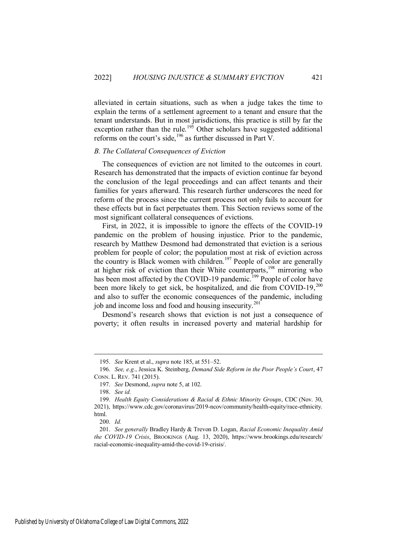alleviated in certain situations, such as when a judge takes the time to explain the terms of a settlement agreement to a tenant and ensure that the tenant understands. But in most jurisdictions, this practice is still by far the exception rather than the rule.<sup>195</sup> Other scholars have suggested additional reforms on the court's side,<sup>196</sup> as further discussed in Part V.

## *B. The Collateral Consequences of Eviction*

The consequences of eviction are not limited to the outcomes in court. Research has demonstrated that the impacts of eviction continue far beyond the conclusion of the legal proceedings and can affect tenants and their families for years afterward. This research further underscores the need for reform of the process since the current process not only fails to account for these effects but in fact perpetuates them. This Section reviews some of the most significant collateral consequences of evictions.

First, in 2022, it is impossible to ignore the effects of the COVID-19 pandemic on the problem of housing injustice. Prior to the pandemic, research by Matthew Desmond had demonstrated that eviction is a serious problem for people of color; the population most at risk of eviction across the country is Black women with children.<sup>197</sup> People of color are generally at higher risk of eviction than their White counterparts,<sup>198</sup> mirroring who has been most affected by the COVID-19 pandemic.<sup>199</sup> People of color have been more likely to get sick, be hospitalized, and die from COVID-19,<sup>200</sup> and also to suffer the economic consequences of the pandemic, including job and income loss and food and housing insecurity.<sup>201</sup>

Desmond's research shows that eviction is not just a consequence of poverty; it often results in increased poverty and material hardship for

<sup>195.</sup> *See* Krent et al., *supra* note 185, at 551–52.

<sup>196.</sup> *See, e.g.*, Jessica K. Steinberg, *Demand Side Reform in the Poor People's Court*, 47 CONN. L. REV. 741 (2015).

<sup>197.</sup> *See* Desmond, *supra* note 5, at 102.

<sup>198.</sup> *See id.*

<sup>199.</sup> *Health Equity Considerations & Racial & Ethnic Minority Groups*, CDC (Nov. 30, 2021), https://www.cdc.gov/coronavirus/2019-ncov/community/health-equity/race-ethnicity. html.

<sup>200.</sup> *Id.* 

<sup>201.</sup> *See generally* Bradley Hardy & Trevon D. Logan, *Racial Economic Inequality Amid the COVID-19 Crisis*, BROOKINGS (Aug. 13, 2020), https://www.brookings.edu/research/ racial-economic-inequality-amid-the-covid-19-crisis/.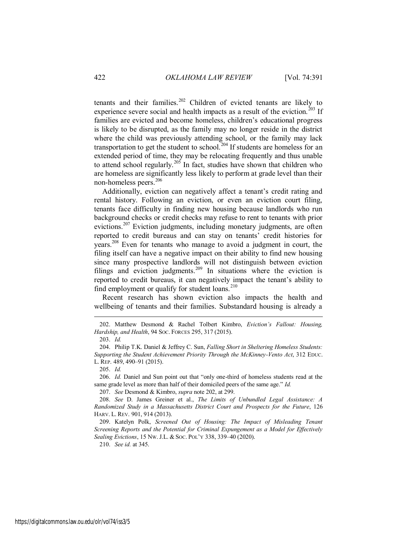tenants and their families.<sup>202</sup> Children of evicted tenants are likely to experience severe social and health impacts as a result of the eviction.<sup>203</sup> If families are evicted and become homeless, children's educational progress is likely to be disrupted, as the family may no longer reside in the district where the child was previously attending school, or the family may lack transportation to get the student to school.<sup>204</sup> If students are homeless for an extended period of time, they may be relocating frequently and thus unable to attend school regularly.<sup>205</sup> In fact, studies have shown that children who are homeless are significantly less likely to perform at grade level than their non-homeless peers.<sup>206</sup>

Additionally, eviction can negatively affect a tenant's credit rating and rental history. Following an eviction, or even an eviction court filing, tenants face difficulty in finding new housing because landlords who run background checks or credit checks may refuse to rent to tenants with prior evictions.<sup>207</sup> Eviction judgments, including monetary judgments, are often reported to credit bureaus and can stay on tenants' credit histories for years.<sup>208</sup> Even for tenants who manage to avoid a judgment in court, the filing itself can have a negative impact on their ability to find new housing since many prospective landlords will not distinguish between eviction filings and eviction judgments.<sup>209</sup> In situations where the eviction is reported to credit bureaus, it can negatively impact the tenant's ability to find employment or qualify for student loans. $210$ 

Recent research has shown eviction also impacts the health and wellbeing of tenants and their families. Substandard housing is already a

 $\overline{a}$ 

206. *Id.* Daniel and Sun point out that "only one-third of homeless students read at the same grade level as more than half of their domiciled peers of the same age." *Id.* 

207. *See* Desmond & Kimbro, *supra* note 202, at 299.

208. *See* D. James Greiner et al., *The Limits of Unbundled Legal Assistance: A Randomized Study in a Massachusetts District Court and Prospects for the Future*, 126 HARV. L. REV. 901, 914 (2013).

209. Katelyn Polk, *Screened Out of Housing: The Impact of Misleading Tenant Screening Reports and the Potential for Criminal Expungement as a Model for Effectively Sealing Evictions*, 15 NW. J.L. & SOC. POL'Y 338, 339–40 (2020).

210. *See id.* at 345.

<sup>202.</sup> Matthew Desmond & Rachel Tolbert Kimbro, *Eviction's Fallout: Housing, Hardship, and Health*, 94 SOC. FORCES 295, 317 (2015).

<sup>203.</sup> *Id.*

<sup>204.</sup> Philip T.K. Daniel & Jeffrey C. Sun, *Falling Short in Sheltering Homeless Students: Supporting the Student Achievement Priority Through the McKinney-Vento Act*, 312 EDUC. L. REP. 489, 490–91 (2015).

<sup>205.</sup> *Id.*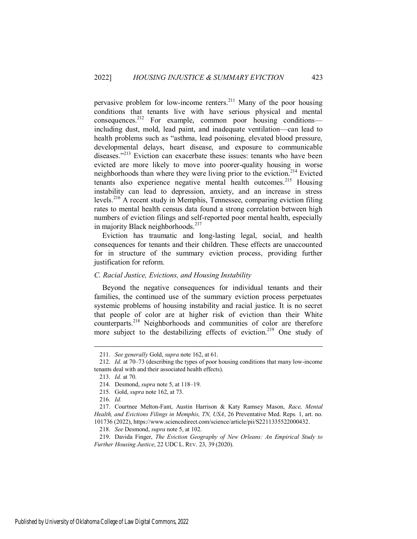pervasive problem for low-income renters.<sup>211</sup> Many of the poor housing conditions that tenants live with have serious physical and mental consequences.<sup>212</sup> For example, common poor housing conditions including dust, mold, lead paint, and inadequate ventilation—can lead to health problems such as "asthma, lead poisoning, elevated blood pressure, developmental delays, heart disease, and exposure to communicable diseases."<sup>213</sup> Eviction can exacerbate these issues: tenants who have been evicted are more likely to move into poorer-quality housing in worse neighborhoods than where they were living prior to the eviction.<sup>214</sup> Evicted tenants also experience negative mental health outcomes.<sup>215</sup> Housing instability can lead to depression, anxiety, and an increase in stress levels.<sup>216</sup> A recent study in Memphis, Tennessee, comparing eviction filing rates to mental health census data found a strong correlation between high numbers of eviction filings and self-reported poor mental health, especially in majority Black neighborhoods.<sup>217</sup>

Eviction has traumatic and long-lasting legal, social, and health consequences for tenants and their children. These effects are unaccounted for in structure of the summary eviction process, providing further justification for reform.

## *C. Racial Justice, Evictions, and Housing Instability*

Beyond the negative consequences for individual tenants and their families, the continued use of the summary eviction process perpetuates systemic problems of housing instability and racial justice. It is no secret that people of color are at higher risk of eviction than their White counterparts.<sup>218</sup> Neighborhoods and communities of color are therefore more subject to the destabilizing effects of eviction.<sup>219</sup> One study of

<sup>211.</sup> *See generally* Gold, *supra* note 162, at 61.

<sup>212.</sup> *Id.* at 70–73 (describing the types of poor housing conditions that many low-income tenants deal with and their associated health effects).

<sup>213.</sup> *Id.* at 70.

<sup>214.</sup> Desmond, *supra* note 5, at 118–19.

<sup>215.</sup> Gold, *supra* note 162, at 73.

<sup>216.</sup> *Id.*

<sup>217.</sup> Courtnee Melton-Fant, Austin Harrison & Katy Ramsey Mason, *Race, Mental Health, and Evictions Filings in Memphis, TN, USA*, 26 Preventative Med. Reps. 1, art. no. 101736 (2022), https://www.sciencedirect.com/science/article/pii/S2211335522000432.

<sup>218.</sup> *See* Desmond, *supra* note 5, at 102.

<sup>219.</sup> Davida Finger, *The Eviction Geography of New Orleans: An Empirical Study to Further Housing Justice*, 22 UDC L. REV. 23, 39 (2020).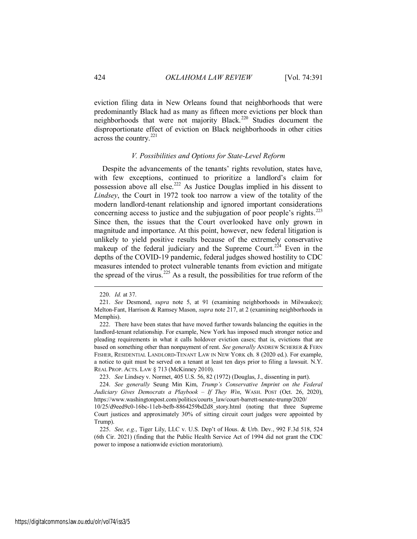eviction filing data in New Orleans found that neighborhoods that were predominantly Black had as many as fifteen more evictions per block than neighborhoods that were not majority Black.<sup>220</sup> Studies document the disproportionate effect of eviction on Black neighborhoods in other cities across the country.<sup>221</sup>

## *V. Possibilities and Options for State-Level Reform*

Despite the advancements of the tenants' rights revolution, states have, with few exceptions, continued to prioritize a landlord's claim for possession above all else.<sup>222</sup> As Justice Douglas implied in his dissent to *Lindsey*, the Court in 1972 took too narrow a view of the totality of the modern landlord-tenant relationship and ignored important considerations concerning access to justice and the subjugation of poor people's rights.<sup>223</sup> Since then, the issues that the Court overlooked have only grown in magnitude and importance. At this point, however, new federal litigation is unlikely to yield positive results because of the extremely conservative makeup of the federal judiciary and the Supreme Court.<sup>224</sup> Even in the depths of the COVID-19 pandemic, federal judges showed hostility to CDC measures intended to protect vulnerable tenants from eviction and mitigate the spread of the virus.<sup>225</sup> As a result, the possibilities for true reform of the

<sup>220.</sup> *Id.* at 37.

<sup>221.</sup> *See* Desmond, *supra* note 5, at 91 (examining neighborhoods in Milwaukee); Melton-Fant, Harrison & Ramsey Mason, *supra* note 217, at 2 (examining neighborhoods in Memphis).

<sup>222.</sup> There have been states that have moved further towards balancing the equities in the landlord-tenant relationship. For example, New York has imposed much stronger notice and pleading requirements in what it calls holdover eviction cases; that is, evictions that are based on something other than nonpayment of rent. *See generally* ANDREW SCHERER & FERN FISHER, RESIDENTIAL LANDLORD-TENANT LAW IN NEW YORK ch. 8 (2020 ed.). For example, a notice to quit must be served on a tenant at least ten days prior to filing a lawsuit. N.Y. REAL PROP. ACTS. LAW § 713 (McKinney 2010).

<sup>223.</sup> *See* Lindsey v. Normet, 405 U.S. 56, 82 (1972) (Douglas, J., dissenting in part).

<sup>224.</sup> *See generally* Seung Min Kim, *Trump's Conservative Imprint on the Federal Judiciary Gives Democrats a Playbook – If They Win*, WASH. POST (Oct. 26, 2020), https://www.washingtonpost.com/politics/courts\_law/court-barrett-senate-trump/2020/

<sup>10/25/</sup>d9eed9c0-16bc-11eb-befb-8864259bd2d8\_story.html (noting that three Supreme Court justices and approximately 30% of sitting circuit court judges were appointed by Trump).

<sup>225.</sup> *See, e.g.*, Tiger Lily, LLC v. U.S. Dep't of Hous. & Urb. Dev., 992 F.3d 518, 524 (6th Cir. 2021) (finding that the Public Health Service Act of 1994 did not grant the CDC power to impose a nationwide eviction moratorium).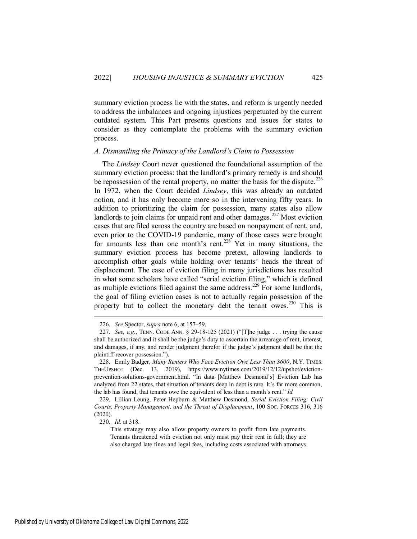summary eviction process lie with the states, and reform is urgently needed to address the imbalances and ongoing injustices perpetuated by the current outdated system. This Part presents questions and issues for states to consider as they contemplate the problems with the summary eviction process.

## *A. Dismantling the Primacy of the Landlord's Claim to Possession*

The *Lindsey* Court never questioned the foundational assumption of the summary eviction process: that the landlord's primary remedy is and should be repossession of the rental property, no matter the basis for the dispute.<sup>226</sup> In 1972, when the Court decided *Lindsey*, this was already an outdated notion, and it has only become more so in the intervening fifty years. In addition to prioritizing the claim for possession, many states also allow landlords to join claims for unpaid rent and other damages.<sup>227</sup> Most eviction cases that are filed across the country are based on nonpayment of rent, and, even prior to the COVID-19 pandemic, many of those cases were brought for amounts less than one month's rent.<sup>228</sup> Yet in many situations, the summary eviction process has become pretext, allowing landlords to accomplish other goals while holding over tenants' heads the threat of displacement. The ease of eviction filing in many jurisdictions has resulted in what some scholars have called "serial eviction filing," which is defined as multiple evictions filed against the same address.<sup>229</sup> For some landlords, the goal of filing eviction cases is not to actually regain possession of the property but to collect the monetary debt the tenant owes.<sup>230</sup> This is

<sup>226.</sup> *See* Spector, *supra* note 6, at 157–59.

<sup>227.</sup> *See, e.g.*, TENN. CODE ANN. § 29-18-125 (2021) ("[T]he judge . . . trying the cause shall be authorized and it shall be the judge's duty to ascertain the arrearage of rent, interest, and damages, if any, and render judgment therefor if the judge's judgment shall be that the plaintiff recover possession.").

<sup>228.</sup> Emily Badger, *Many Renters Who Face Eviction Owe Less Than \$600*, N.Y. TIMES: THEUPSHOT (Dec. 13, 2019), https://www.nytimes.com/2019/12/12/upshot/evictionprevention-solutions-government.html. "In data [Matthew Desmond's] Eviction Lab has analyzed from 22 states, that situation of tenants deep in debt is rare. It's far more common, the lab has found, that tenants owe the equivalent of less than a month's rent." *Id.*

<sup>229.</sup> Lillian Leung, Peter Hepburn & Matthew Desmond, *Serial Eviction Filing: Civil Courts, Property Management, and the Threat of Displacement*, 100 SOC. FORCES 316, 316 (2020).

<sup>230.</sup> *Id.* at 318.

This strategy may also allow property owners to profit from late payments. Tenants threatened with eviction not only must pay their rent in full; they are also charged late fines and legal fees, including costs associated with attorneys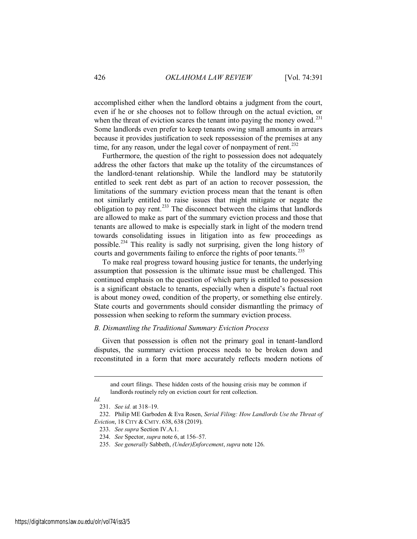accomplished either when the landlord obtains a judgment from the court, even if he or she chooses not to follow through on the actual eviction, or when the threat of eviction scares the tenant into paying the money owed.<sup>231</sup> Some landlords even prefer to keep tenants owing small amounts in arrears because it provides justification to seek repossession of the premises at any time, for any reason, under the legal cover of nonpayment of rent.<sup>232</sup>

Furthermore, the question of the right to possession does not adequately address the other factors that make up the totality of the circumstances of the landlord-tenant relationship. While the landlord may be statutorily entitled to seek rent debt as part of an action to recover possession, the limitations of the summary eviction process mean that the tenant is often not similarly entitled to raise issues that might mitigate or negate the obligation to pay rent.<sup>233</sup> The disconnect between the claims that landlords are allowed to make as part of the summary eviction process and those that tenants are allowed to make is especially stark in light of the modern trend towards consolidating issues in litigation into as few proceedings as possible.<sup>234</sup> This reality is sadly not surprising, given the long history of courts and governments failing to enforce the rights of poor tenants.<sup>235</sup>

To make real progress toward housing justice for tenants, the underlying assumption that possession is the ultimate issue must be challenged. This continued emphasis on the question of which party is entitled to possession is a significant obstacle to tenants, especially when a dispute's factual root is about money owed, condition of the property, or something else entirely. State courts and governments should consider dismantling the primacy of possession when seeking to reform the summary eviction process.

#### *B. Dismantling the Traditional Summary Eviction Process*

Given that possession is often not the primary goal in tenant-landlord disputes, the summary eviction process needs to be broken down and reconstituted in a form that more accurately reflects modern notions of

## *Id.*

and court filings. These hidden costs of the housing crisis may be common if landlords routinely rely on eviction court for rent collection.

<sup>231.</sup> *See id.* at 318–19.

<sup>232.</sup> Philip ME Garboden & Eva Rosen, *Serial Filing: How Landlords Use the Threat of Eviction*, 18 CITY & CMTY. 638, 638 (2019).

<sup>233.</sup> *See supra* Section IV.A.1.

<sup>234.</sup> *See* Spector, *supra* note 6, at 156–57.

<sup>235.</sup> *See generally* Sabbeth, *(Under)Enforcement*, *supra* note 126.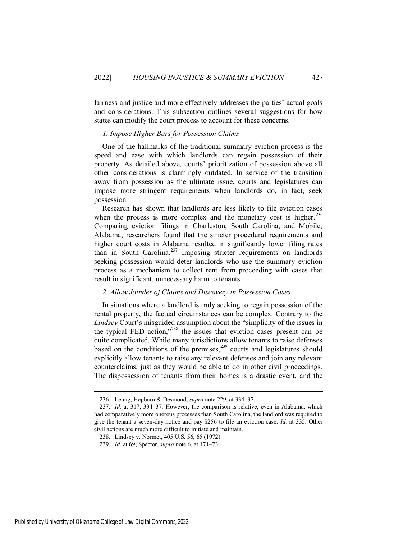fairness and justice and more effectively addresses the parties' actual goals and considerations. This subsection outlines several suggestions for how states can modify the court process to account for these concerns.

## *1. Impose Higher Bars for Possession Claims*

One of the hallmarks of the traditional summary eviction process is the speed and ease with which landlords can regain possession of their property. As detailed above, courts' prioritization of possession above all other considerations is alarmingly outdated. In service of the transition away from possession as the ultimate issue, courts and legislatures can impose more stringent requirements when landlords do, in fact, seek possession.

Research has shown that landlords are less likely to file eviction cases when the process is more complex and the monetary cost is higher.<sup>236</sup> Comparing eviction filings in Charleston, South Carolina, and Mobile, Alabama, researchers found that the stricter procedural requirements and higher court costs in Alabama resulted in significantly lower filing rates than in South Carolina.<sup>237</sup> Imposing stricter requirements on landlords seeking possession would deter landlords who use the summary eviction process as a mechanism to collect rent from proceeding with cases that result in significant, unnecessary harm to tenants.

## *2. Allow Joinder of Claims and Discovery in Possession Cases*

In situations where a landlord is truly seeking to regain possession of the rental property, the factual circumstances can be complex. Contrary to the *Lindsey* Court's misguided assumption about the "simplicity of the issues in the typical FED action," $238$  the issues that eviction cases present can be quite complicated. While many jurisdictions allow tenants to raise defenses based on the conditions of the premises,<sup>239</sup> courts and legislatures should explicitly allow tenants to raise any relevant defenses and join any relevant counterclaims, just as they would be able to do in other civil proceedings. The dispossession of tenants from their homes is a drastic event, and the

<sup>236.</sup> Leung, Hepburn & Desmond, *supra* note 229, at 334–37.

<sup>237.</sup> *Id.* at 317, 334–37. However, the comparison is relative; even in Alabama, which had comparatively more onerous processes than South Carolina, the landlord was required to give the tenant a seven-day notice and pay \$256 to file an eviction case. *Id.* at 335. Other civil actions are much more difficult to initiate and maintain.

<sup>238.</sup> Lindsey v. Normet, 405 U.S. 56, 65 (1972).

<sup>239.</sup> *Id.* at 69; Spector, *supra* note 6, at 171–73.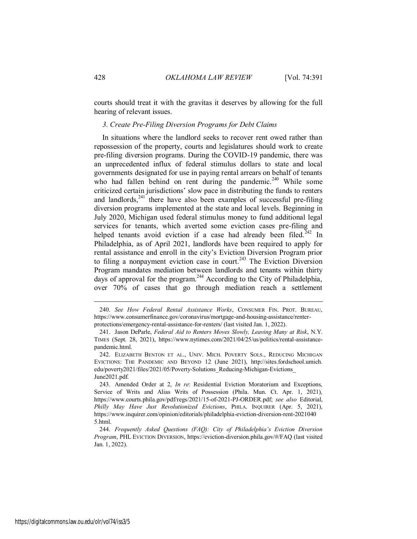courts should treat it with the gravitas it deserves by allowing for the full hearing of relevant issues.

## *3. Create Pre-Filing Diversion Programs for Debt Claims*

In situations where the landlord seeks to recover rent owed rather than repossession of the property, courts and legislatures should work to create pre-filing diversion programs. During the COVID-19 pandemic, there was an unprecedented influx of federal stimulus dollars to state and local governments designated for use in paying rental arrears on behalf of tenants who had fallen behind on rent during the pandemic.<sup>240</sup> While some criticized certain jurisdictions' slow pace in distributing the funds to renters and landlords,  $241$  there have also been examples of successful pre-filing diversion programs implemented at the state and local levels. Beginning in July 2020, Michigan used federal stimulus money to fund additional legal services for tenants, which averted some eviction cases pre-filing and helped tenants avoid eviction if a case had already been filed.<sup>242</sup> In Philadelphia, as of April 2021, landlords have been required to apply for rental assistance and enroll in the city's Eviction Diversion Program prior to filing a nonpayment eviction case in court.<sup>243</sup> The Eviction Diversion Program mandates mediation between landlords and tenants within thirty days of approval for the program.<sup>244</sup> According to the City of Philadelphia, over 70% of cases that go through mediation reach a settlement

<sup>240.</sup> *See How Federal Rental Assistance Works*, CONSUMER FIN. PROT. BUREAU, https://www.consumerfinance.gov/coronavirus/mortgage-and-housing-assistance/renterprotections/emergency-rental-assistance-for-renters/ (last visited Jan. 1, 2022).

<sup>241.</sup> Jason DeParle, *Federal Aid to Renters Moves Slowly, Leaving Many at Risk*, N.Y. TIMES (Sept. 28, 2021), https://www.nytimes.com/2021/04/25/us/politics/rental-assistancepandemic.html.

<sup>242.</sup> ELIZABETH BENTON ET AL., UNIV. MICH. POVERTY SOLS., REDUCING MICHIGAN EVICTIONS: THE PANDEMIC AND BEYOND 12 (June 2021), http://sites.fordschool.umich. edu/poverty2021/files/2021/05/Poverty-Solutions\_Reducing-Michigan-Evictions\_ June2021.pdf.

<sup>243.</sup> Amended Order at 2, *In re*: Residential Eviction Moratorium and Exceptions, Service of Writs and Alias Writs of Possession (Phila. Mun. Ct. Apr. 1, 2021), https://www.courts.phila.gov/pdf/regs/2021/15-of-2021-PJ-ORDER.pdf; *see also* Editorial, *Philly May Have Just Revolutionized Evictions*, PHILA. INQUIRER (Apr. 5, 2021), https://www.inquirer.com/opinion/editorials/philadelphia-eviction-diversion-rent-2021040 5.html.

<sup>244.</sup> *Frequently Asked Questions (FAQ): City of Philadelphia's Eviction Diversion Program*, PHL EVICTION DIVERSION, https://eviction-diversion.phila.gov/#/FAQ (last visited Jan. 1, 2022).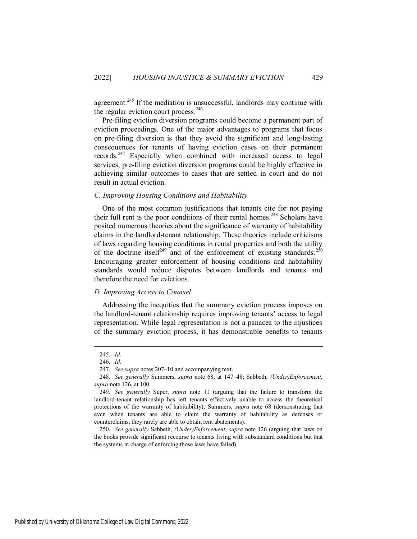agreement.<sup>245</sup> If the mediation is unsuccessful, landlords may continue with the regular eviction court process. $246$ 

Pre-filing eviction diversion programs could become a permanent part of eviction proceedings. One of the major advantages to programs that focus on pre-filing diversion is that they avoid the significant and long-lasting consequences for tenants of having eviction cases on their permanent records.<sup>247</sup> Especially when combined with increased access to legal services, pre-filing eviction diversion programs could be highly effective in achieving similar outcomes to cases that are settled in court and do not result in actual eviction.

## *C. Improving Housing Conditions and Habitability*

One of the most common justifications that tenants cite for not paying their full rent is the poor conditions of their rental homes.<sup>248</sup> Scholars have posited numerous theories about the significance of warranty of habitability claims in the landlord-tenant relationship. These theories include criticisms of laws regarding housing conditions in rental properties and both the utility of the doctrine itself<sup>249</sup> and of the enforcement of existing standards.<sup>250</sup> Encouraging greater enforcement of housing conditions and habitability standards would reduce disputes between landlords and tenants and therefore the need for evictions.

## *D. Improving Access to Counsel*

Addressing the inequities that the summary eviction process imposes on the landlord-tenant relationship requires improving tenants' access to legal representation. While legal representation is not a panacea to the injustices of the summary eviction process, it has demonstrable benefits to tenants

 $\overline{a}$ 

250. *See generally* Sabbeth, *(Under)Enforcement*, *supra* note 126 (arguing that laws on the books provide significant recourse to tenants living with substandard conditions but that the systems in charge of enforcing those laws have failed).

Published by University of Oklahoma College of Law Digital Commons, 2022

<sup>245.</sup> *Id.*

<sup>246.</sup> *Id.*

<sup>247.</sup> *See supra* notes 207–10 and accompanying text.

<sup>248.</sup> *See generally* Summers, *supra* note 68, at 147–48; Sabbeth, *(Under)Enforcement*, *supra* note 126, at 100.

<sup>249.</sup> *See generally* Super, *supra* note 11 (arguing that the failure to transform the landlord-tenant relationship has left tenants effectively unable to access the theoretical protections of the warranty of habitability); Summers, *supra* note 68 (demonstrating that even when tenants are able to claim the warranty of habitability as defenses or counterclaims, they rarely are able to obtain rent abatements).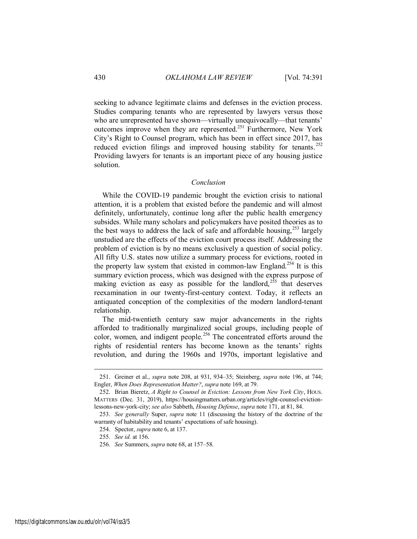seeking to advance legitimate claims and defenses in the eviction process. Studies comparing tenants who are represented by lawyers versus those who are unrepresented have shown—virtually unequivocally—that tenants' outcomes improve when they are represented.<sup>251</sup> Furthermore, New York City's Right to Counsel program, which has been in effect since 2017, has reduced eviction filings and improved housing stability for tenants.<sup>252</sup> Providing lawyers for tenants is an important piece of any housing justice solution.

#### *Conclusion*

While the COVID-19 pandemic brought the eviction crisis to national attention, it is a problem that existed before the pandemic and will almost definitely, unfortunately, continue long after the public health emergency subsides. While many scholars and policymakers have posited theories as to the best ways to address the lack of safe and affordable housing,  $253$  largely unstudied are the effects of the eviction court process itself. Addressing the problem of eviction is by no means exclusively a question of social policy. All fifty U.S. states now utilize a summary process for evictions, rooted in the property law system that existed in common-law England.<sup>254</sup> It is this summary eviction process, which was designed with the express purpose of making eviction as easy as possible for the landlord,<sup>255</sup> that deserves reexamination in our twenty-first-century context. Today, it reflects an antiquated conception of the complexities of the modern landlord-tenant relationship.

The mid-twentieth century saw major advancements in the rights afforded to traditionally marginalized social groups, including people of color, women, and indigent people.<sup>256</sup> The concentrated efforts around the rights of residential renters has become known as the tenants' rights revolution, and during the 1960s and 1970s, important legislative and

<sup>251.</sup> Greiner et al., *supra* note 208, at 931, 934–35; Steinberg, *supra* note 196, at 744; Engler, *When Does Representation Matter?*, *supra* note 169, at 79.

<sup>252.</sup> Brian Bieretz, *A Right to Counsel in Eviction: Lessons from New York City*, HOUS. MATTERS (Dec. 31, 2019), https://housingmatters.urban.org/articles/right-counsel-evictionlessons-new-york-city; *see also* Sabbeth, *Housing Defense*, *supra* note 171, at 81, 84.

<sup>253.</sup> *See generally* Super, *supra* note 11 (discussing the history of the doctrine of the warranty of habitability and tenants' expectations of safe housing).

<sup>254.</sup> Spector, *supra* note 6, at 137.

<sup>255.</sup> *See id.* at 156.

<sup>256.</sup> *See* Summers, *supra* note 68, at 157–58.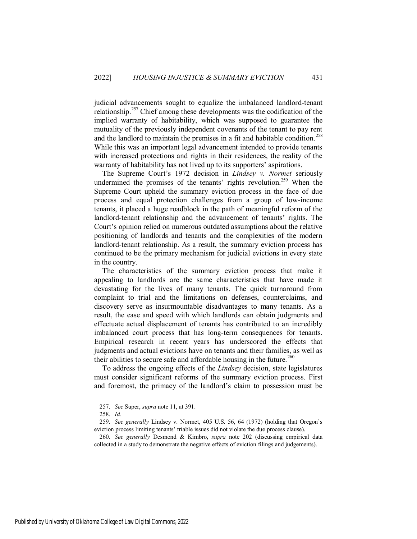judicial advancements sought to equalize the imbalanced landlord-tenant relationship.<sup>257</sup> Chief among these developments was the codification of the implied warranty of habitability, which was supposed to guarantee the mutuality of the previously independent covenants of the tenant to pay rent and the landlord to maintain the premises in a fit and habitable condition.<sup>258</sup> While this was an important legal advancement intended to provide tenants with increased protections and rights in their residences, the reality of the warranty of habitability has not lived up to its supporters' aspirations.

The Supreme Court's 1972 decision in *Lindsey v. Normet* seriously undermined the promises of the tenants' rights revolution.<sup>259</sup> When the Supreme Court upheld the summary eviction process in the face of due process and equal protection challenges from a group of low-income tenants, it placed a huge roadblock in the path of meaningful reform of the landlord-tenant relationship and the advancement of tenants' rights. The Court's opinion relied on numerous outdated assumptions about the relative positioning of landlords and tenants and the complexities of the modern landlord-tenant relationship. As a result, the summary eviction process has continued to be the primary mechanism for judicial evictions in every state in the country.

The characteristics of the summary eviction process that make it appealing to landlords are the same characteristics that have made it devastating for the lives of many tenants. The quick turnaround from complaint to trial and the limitations on defenses, counterclaims, and discovery serve as insurmountable disadvantages to many tenants. As a result, the ease and speed with which landlords can obtain judgments and effectuate actual displacement of tenants has contributed to an incredibly imbalanced court process that has long-term consequences for tenants. Empirical research in recent years has underscored the effects that judgments and actual evictions have on tenants and their families, as well as their abilities to secure safe and affordable housing in the future.<sup>260</sup>

To address the ongoing effects of the *Lindsey* decision, state legislatures must consider significant reforms of the summary eviction process. First and foremost, the primacy of the landlord's claim to possession must be

<sup>257.</sup> *See* Super, *supra* note 11, at 391.

<sup>258.</sup> *Id.*

<sup>259.</sup> *See generally* Lindsey v. Normet, 405 U.S. 56, 64 (1972) (holding that Oregon's eviction process limiting tenants' triable issues did not violate the due process clause).

<sup>260.</sup> *See generally* Desmond & Kimbro, *supra* note 202 (discussing empirical data collected in a study to demonstrate the negative effects of eviction filings and judgements).